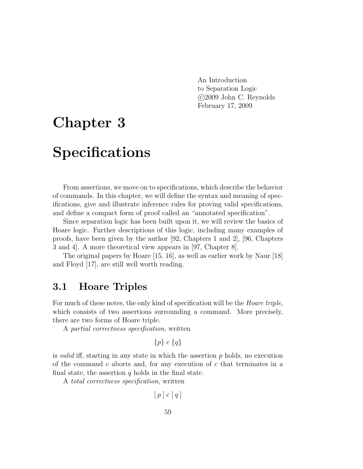An Introduction to Separation Logic c 2009 John C. Reynolds February 17, 2009

# Chapter 3

# Specifications

From assertions, we move on to specifications, which describe the behavior of commands. In this chapter, we will define the syntax and meaning of specifications, give and illustrate inference rules for proving valid specifications, and define a compact form of proof called an "annotated specification".

Since separation logic has been built upon it, we will review the basics of Hoare logic. Further descriptions of this logic, including many examples of proofs, have been given by the author [92, Chapters 1 and 2], [96, Chapters 3 and 4]. A more theoretical view appears in [97, Chapter 8].

The original papers by Hoare [15, 16], as well as earlier work by Naur [18] and Floyd [17], are still well worth reading.

#### 3.1 Hoare Triples

For much of these notes, the only kind of specification will be the *Hoare triple*, which consists of two assertions surrounding a command. More precisely, there are two forms of Hoare triple.

A partial correctness specification, written

$$
\{p\} \ c \ \{q\}
$$

is valid iff, starting in any state in which the assertion  $p$  holds, no execution of the command c aborts and, for any execution of c that terminates in a final state, the assertion  $q$  holds in the final state.

A total correctness specification, written

$$
[\,p\,]\;c\;[\,q\,]
$$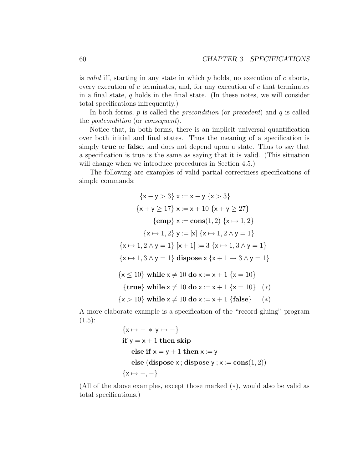is valid iff, starting in any state in which  $p$  holds, no execution of  $c$  aborts, every execution of  $c$  terminates, and, for any execution of  $c$  that terminates in a final state,  $q$  holds in the final state. (In these notes, we will consider total specifications infrequently.)

In both forms,  $p$  is called the *precondition* (or *precedent*) and  $q$  is called the postcondition (or consequent).

Notice that, in both forms, there is an implicit universal quantification over both initial and final states. Thus the meaning of a specification is simply true or false, and does not depend upon a state. Thus to say that a specification is true is the same as saying that it is valid. (This situation will change when we introduce procedures in Section 4.5.)

The following are examples of valid partial correctness specifications of simple commands:

$$
\{x - y > 3\} \ x := x - y \{x > 3\}
$$
  

$$
\{x + y \ge 17\} \ x := x + 10 \{x + y \ge 27\}
$$
  

$$
\{\text{emp} \} x := \text{cons}(1, 2) \{x \mapsto 1, 2\}
$$
  

$$
\{x \mapsto 1, 2\} \ y := [x] \{x \mapsto 1, 2 \wedge y = 1\}
$$
  

$$
\{x \mapsto 1, 2 \wedge y = 1\} [x + 1] := 3 \{x \mapsto 1, 3 \wedge y = 1\}
$$
  

$$
\{x \mapsto 1, 3 \wedge y = 1\} \text{ dispose } x \{x + 1 \mapsto 3 \wedge y = 1\}
$$
  

$$
\{x \le 10\} \text{ while } x \ne 10 \text{ do } x := x + 1 \{x = 10\}
$$
  

$$
\{\text{true}\} \text{ while } x \ne 10 \text{ do } x := x + 1 \{x = 10\} (*)
$$
  

$$
\{x > 10\} \text{ while } x \ne 10 \text{ do } x := x + 1 \{\text{false}\} (*)
$$

A more elaborate example is a specification of the "record-gluing" program  $(1.5):$ 

$$
\{x \mapsto - * y \mapsto -\}
$$
  
if  $y = x + 1$  then skip  
else if  $x = y + 1$  then  $x := y$   
else (dispose x; dispose y; x := cons(1, 2))  

$$
\{x \mapsto -,-\}
$$

(All of the above examples, except those marked (∗), would also be valid as total specifications.)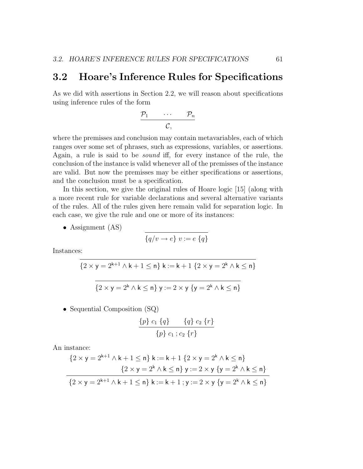#### 3.2 Hoare's Inference Rules for Specifications

As we did with assertions in Section 2.2, we will reason about specifications using inference rules of the form

$$
\frac{\mathcal{P}_1 \qquad \cdots \qquad \mathcal{P}_n}{\mathcal{C},}
$$

where the premisses and conclusion may contain metavariables, each of which ranges over some set of phrases, such as expressions, variables, or assertions. Again, a rule is said to be sound iff, for every instance of the rule, the conclusion of the instance is valid whenever all of the premisses of the instance are valid. But now the premisses may be either specifications or assertions, and the conclusion must be a specification.

In this section, we give the original rules of Hoare logic [15] (along with a more recent rule for variable declarations and several alternative variants of the rules. All of the rules given here remain valid for separation logic. In each case, we give the rule and one or more of its instances:

• Assignment (AS)

$$
\{q/v \rightarrow e\} \ v := e \ \{q\}
$$

Instances:

$$
\{2 \times y = 2^{k+1} \wedge k + 1 \le n\} \; k := k + 1 \; \{2 \times y = 2^k \wedge k \le n\}
$$

$$
\{2 \times y = 2^k \wedge k \le n\} \ y := 2 \times y \ \{y = 2^k \wedge k \le n\}
$$

• Sequential Composition (SQ)

$$
\frac{\{p\} c_1 \{q\}}{\{p\} c_1 ; c_2 \{r\}}
$$

An instance:

$$
\{2 \times y = 2^{k+1} \land k+1 \le n\} \; k := k+1 \; \{2 \times y = 2^k \land k \le n\}
$$
\n
$$
\{2 \times y = 2^k \land k \le n\} \; y := 2 \times y \; \{y = 2^k \land k \le n\}
$$
\n
$$
\{2 \times y = 2^{k+1} \land k+1 \le n\} \; k := k+1 \; ; y := 2 \times y \; \{y = 2^k \land k \le n\}
$$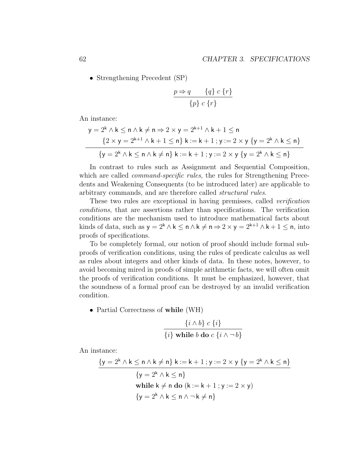• Strengthening Precedent (SP)

$$
\frac{p \Rightarrow q \qquad \{q\} \ c \{r\}}{\{p\} \ c \{r\}}
$$

An instance:

$$
y = 2^{k} \wedge k \le n \wedge k \ne n \Rightarrow 2 \times y = 2^{k+1} \wedge k + 1 \le n
$$
  

$$
\{2 \times y = 2^{k+1} \wedge k + 1 \le n\} \; k := k+1 \; ; \; y := 2 \times y \; \{y = 2^{k} \wedge k \le n\}
$$
  

$$
\{y = 2^{k} \wedge k \le n \wedge k \ne n\} \; k := k+1 \; ; \; y := 2 \times y \; \{y = 2^{k} \wedge k \le n\}
$$

In contrast to rules such as Assignment and Sequential Composition, which are called *command-specific rules*, the rules for Strengthening Precedents and Weakening Consequents (to be introduced later) are applicable to arbitrary commands, and are therefore called structural rules.

These two rules are exceptional in having premisses, called *verification* conditions, that are assertions rather than specifications. The verification conditions are the mechanism used to introduce mathematical facts about kinds of data, such as  $y = 2^k \wedge k \le n \wedge k \ne n \Rightarrow 2 \times y = 2^{k+1} \wedge k + 1 \le n$ , into proofs of specifications.

To be completely formal, our notion of proof should include formal subproofs of verification conditions, using the rules of predicate calculus as well as rules about integers and other kinds of data. In these notes, however, to avoid becoming mired in proofs of simple arithmetic facts, we will often omit the proofs of verification conditions. It must be emphasized, however, that the soundness of a formal proof can be destroyed by an invalid verification condition.

• Partial Correctness of while (WH)

$$
\frac{\{i \wedge b\} \ c \ \{i\}}{\{i\} \ \text{while } b \ \text{do } c \ \{i \wedge \neg b\}}
$$

An instance:

$$
\{y = 2^{k} \land k \le n \land k \ne n\} \ k := k + 1 \ ; y := 2 \times y \ \{y = 2^{k} \land k \le n\}
$$
\n
$$
\{y = 2^{k} \land k \le n\}
$$
\nwhile  $k \ne n$  do  $(k := k + 1 \ ; y := 2 \times y)$ \n
$$
\{y = 2^{k} \land k \le n \land \neg k \ne n\}
$$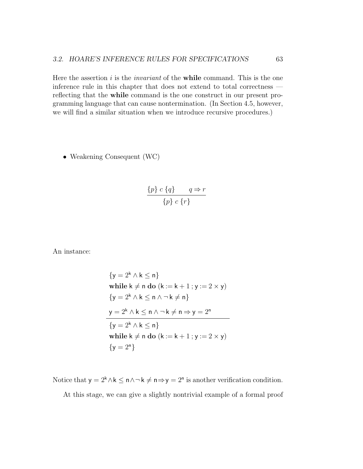Here the assertion  $i$  is the *invariant* of the **while** command. This is the one inference rule in this chapter that does not extend to total correctness reflecting that the while command is the one construct in our present programming language that can cause nontermination. (In Section 4.5, however, we will find a similar situation when we introduce recursive procedures.)

• Weakening Consequent (WC)

$$
\frac{\{p\} \ c \ \{q\}}{\{p\} \ c \ \{r\}}
$$

An instance:

$$
\{y = 2^{k} \wedge k \le n\}
$$
  
while  $k \ne n$  do  $(k := k + 1; y := 2 \times y)$   

$$
\{y = 2^{k} \wedge k \le n \wedge \neg k \ne n\}
$$
  

$$
y = 2^{k} \wedge k \le n \wedge \neg k \ne n \Rightarrow y = 2^{n}
$$
  

$$
\{y = 2^{k} \wedge k \le n\}
$$
  
while  $k \ne n$  do  $(k := k + 1; y := 2 \times y)$   

$$
\{y = 2^{n}\}
$$

Notice that  $y = 2^k \wedge k \leq n \wedge \neg k \neq n \Rightarrow y = 2^n$  is another verification condition.

At this stage, we can give a slightly nontrivial example of a formal proof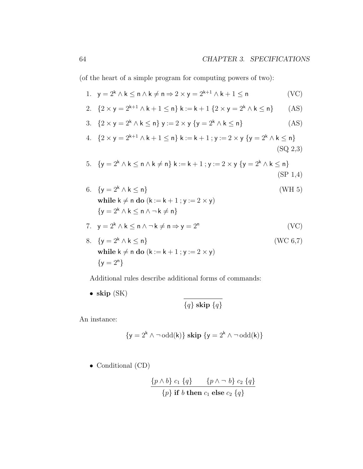(of the heart of a simple program for computing powers of two):

1. 
$$
y = 2^k \wedge k \le n \wedge k \ne n \Rightarrow 2 \times y = 2^{k+1} \wedge k + 1 \le n
$$
 (VC)

2. 
$$
{2 \times y = 2^{k+1} \land k + 1 \le n} k := k + 1 {2 \times y = 2^k \land k \le n}
$$
 (AS)

3. { $2 \times y = 2^{k} \wedge k \le n$ }  $y := 2 \times y$  { $y = 2^{k} \wedge k \le n$ } (AS)

4. 
$$
\{2 \times y = 2^{k+1} \land k+1 \leq n\} \ k := k+1 \ ; y := 2 \times y \ \{y = 2^k \land k \leq n\}
$$
\n(SQ 2,3)

5. 
$$
{y = 2^k \land k \le n \land k \ne n} k := k + 1; y := 2 \times y \{y = 2^k \land k \le n\}
$$
  
(SP 1,4)

6. { $y = 2<sup>k</sup> \wedge k \le n$ } (WH 5) while  $k \neq n$  do  $(k := k + 1 ; y := 2 \times y)$  ${y = 2^k \wedge k \le n \wedge \neg k \ne n}$ 

7. 
$$
y = 2^k \wedge k \le n \wedge \neg k \ne n \Rightarrow y = 2^n
$$
 (VC)

8. { $y = 2<sup>k</sup> \wedge k \le n$ } (WC 6,7) while  $k \neq n$  do  $(k := k + 1 ; y := 2 \times y)$  ${y = 2^n}$ 

Additional rules describe additional forms of commands:

• skip 
$$
(SK)
$$

$$
\{q\} \mathbf{skip} \{q\}
$$

An instance:

$$
\{y=2^k\wedge \neg\operatorname{odd}(k)\} \ \mathbf{skip} \ \{y=2^k\wedge \neg\operatorname{odd}(k)\}
$$

• Conditional (CD)

$$
\frac{\{p \wedge b\} c_1 \{q\}}{\{p\} \text{ if } b \text{ then } c_1 \text{ else } c_2 \{q\}}
$$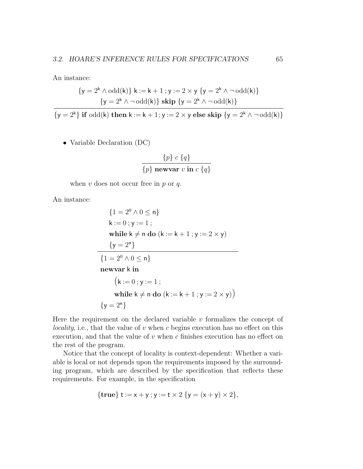An instance:

$$
\begin{aligned} \left\{y=2^k \wedge \mathrm{odd}(k)\right\} \, k := k+1 \, ; y := 2 \times y \, \left\{y=2^k \wedge \neg \, \mathrm{odd}(k)\right\} \\ \left\{y=2^k \wedge \neg \, \mathrm{odd}(k)\right\} \, \mathbf{skip} \, \left\{y=2^k \wedge \neg \, \mathrm{odd}(k)\right\} \end{aligned}
$$

 ${y = 2^k}$  if odd(k) then  $k := k + 1$ ;  $y := 2 \times y$  else skip  ${y = 2^k \wedge \neg \text{odd}(k)}$ 

• Variable Declaration (DC)

$$
\frac{\{p\} c \{q\}}{\{p\} \text{ newvar } v \text{ in } c \{q\}}
$$

when  $v$  does not occur free in  $p$  or  $q$ .

An instance:

$$
\{1 = 2^{0} \land 0 \le n\}
$$
  
\nk := 0; y := 1;  
\nwhile k \ne n do (k := k + 1; y := 2 × y)  
\n
$$
\{y = 2^{n}\}
$$
  
\n
$$
\{1 = 2^{0} \land 0 \le n\}
$$
  
\nnewvar k in  
\n
$$
(k := 0; y := 1;\nwhile k \ne n do (k := k + 1; y := 2 × y)\)
$$
  
\n
$$
\{y = 2^{n}\}
$$

Here the requirement on the declared variable  $v$  formalizes the concept of locality, i.e., that the value of  $v$  when  $c$  begins execution has no effect on this execution, and that the value of  $v$  when  $c$  finishes execution has no effect on the rest of the program.

Notice that the concept of locality is context-dependent: Whether a variable is local or not depends upon the requirements imposed by the surrounding program, which are described by the specification that reflects these requirements. For example, in the specification

$$
{\bf true} \, t := x + y \, ; \, y := t \times 2 \, \{ y = (x + y) \times 2 \},
$$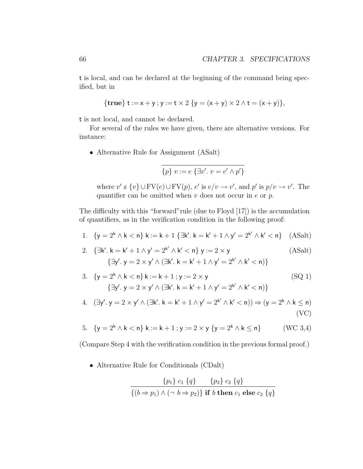t is local, and can be declared at the beginning of the command being specified, but in

$$
{\bf true} \, {\bf t} := x + y \, ; \, y := t \times 2 \, {\bf \{y = (x + y) \times 2 \land t = (x + y)\},}
$$

t is not local, and cannot be declared.

For several of the rules we have given, there are alternative versions. For instance:

• Alternative Rule for Assignment (ASalt)

$$
\overline{\{p\}\ v:=e\ \{\exists v'.\ v=e'\wedge p'\}}
$$

where  $v' \notin \{v\} \cup FV(e) \cup FV(p)$ ,  $e'$  is  $e/v \to v'$ , and  $p'$  is  $p/v \to v'$ . The quantifier can be omitted when  $v$  does not occur in  $e$  or  $p$ .

The difficulty with this "forward"rule (due to Floyd [17]) is the accumulation of quantifiers, as in the verification condition in the following proof:

1.  ${y = 2^k \wedge k < n}$   $k := k + 1$   $\exists k'.$   $k = k' + 1 \wedge y' = 2^{k'} \wedge k' < n$  (ASalt)

2. 
$$
\{\exists k'. k = k' + 1 \land y' = 2^{k'} \land k' < n\} \ y := 2 \times y \tag{ASalt}
$$
\n
$$
\{\exists y'. y = 2 \times y' \land (\exists k'. k = k' + 1 \land y' = 2^{k'} \land k' < n)\}
$$

3. 
$$
\{y = 2^{k} \wedge k < n\} k := k + 1; y := 2 \times y
$$
\n
$$
\{\exists y'. y = 2 \times y' \wedge (\exists k'. k = k' + 1 \wedge y' = 2^{k'} \wedge k' < n)\}\
$$
\n(SQ 1)

4. 
$$
(\exists y'. y = 2 \times y' \land (\exists k'. k = k' + 1 \land y' = 2^{k'} \land k' < n)) \Rightarrow (y = 2^k \land k \le n)
$$
\n(VC)

5. 
$$
{y = 2^k \wedge k < n}
$$
  $k := k + 1$ ;  $y := 2 \times y$   ${y = 2^k \wedge k \le n}$  (WC 3,4)

(Compare Step 4 with the verification condition in the previous formal proof.)

• Alternative Rule for Conditionals (CDalt)

$$
\frac{\{p_1\} c_1 \{q\} \qquad \{p_2\} c_2 \{q\}}{\{(b \Rightarrow p_1) \land (\neg \ b \Rightarrow p_2)\}\text{ if } b \text{ then } c_1 \text{ else } c_2 \{q\}}
$$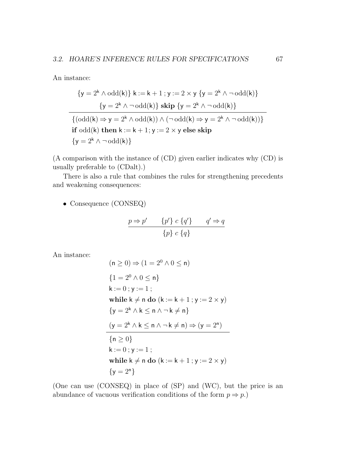An instance:

$$
\{y = 2^k \wedge \text{odd}(k)\} \ k := k + 1 \ ; y := 2 \times y \ \{y = 2^k \wedge \neg \text{odd}(k)\}
$$
\n
$$
\{y = 2^k \wedge \neg \text{odd}(k)\} \ \text{skip} \ \{y = 2^k \wedge \neg \text{odd}(k)\}
$$
\n
$$
\{(\text{odd}(k) \Rightarrow y = 2^k \wedge \text{odd}(k)) \wedge (\neg \text{odd}(k) \Rightarrow y = 2^k \wedge \neg \text{odd}(k))\}
$$
\n
$$
\text{if odd}(k) \ \text{then} \ k := k + 1; y := 2 \times y \ \text{else} \ \text{skip}
$$
\n
$$
\{y = 2^k \wedge \neg \text{odd}(k)\}
$$

(A comparison with the instance of (CD) given earlier indicates why (CD) is usually preferable to (CDalt).)

There is also a rule that combines the rules for strengthening precedents and weakening consequences:

• Consequence (CONSEQ)

$$
\frac{p \Rightarrow p' \qquad \{p'\} \ c \{q'\}}{\{p\} \ c \{q\}} \qquad \qquad q' \Rightarrow q
$$

An instance:

$$
(n \ge 0) \Rightarrow (1 = 2^0 \land 0 \le n)
$$
  
\n
$$
\{1 = 2^0 \land 0 \le n\}
$$
  
\n
$$
k := 0; y := 1;
$$
  
\nwhile  $k \ne n$  do  $(k := k + 1; y := 2 \times y)$   
\n
$$
\{y = 2^k \land k \le n \land \neg k \ne n\}
$$
  
\n
$$
(y = 2^k \land k \le n \land \neg k \ne n) \Rightarrow (y = 2^n)
$$
  
\n
$$
\{n \ge 0\}
$$
  
\n
$$
k := 0; y := 1;
$$
  
\nwhile  $k \ne n$  do  $(k := k + 1; y := 2 \times y)$   
\n
$$
\{y = 2^n\}
$$

(One can use (CONSEQ) in place of (SP) and (WC), but the price is an abundance of vacuous verification conditions of the form  $p \Rightarrow p$ .)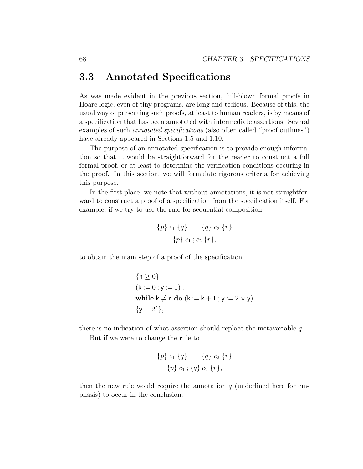#### 3.3 Annotated Specifications

As was made evident in the previous section, full-blown formal proofs in Hoare logic, even of tiny programs, are long and tedious. Because of this, the usual way of presenting such proofs, at least to human readers, is by means of a specification that has been annotated with intermediate assertions. Several examples of such *annotated specifications* (also often called "proof outlines") have already appeared in Sections 1.5 and 1.10.

The purpose of an annotated specification is to provide enough information so that it would be straightforward for the reader to construct a full formal proof, or at least to determine the verification conditions occuring in the proof. In this section, we will formulate rigorous criteria for achieving this purpose.

In the first place, we note that without annotations, it is not straightforward to construct a proof of a specification from the specification itself. For example, if we try to use the rule for sequential composition,

$$
\frac{\{p\} c_1 \{q\} \qquad \{q\} c_2 \{r\}}{\{p\} c_1 ; c_2 \{r\},\
$$

to obtain the main step of a proof of the specification

{
$$
n \ge 0
$$
}  
\n( $k := 0$ ;  $y := 1$ );  
\nwhile  $k \ne n$  do ( $k := k + 1$ ;  $y := 2 \times y$ )  
\n{ $y = 2^n$ },

there is no indication of what assertion should replace the metavariable q.

But if we were to change the rule to

$$
\frac{\{p\} c_1 \{q\} \qquad \{q\} c_2 \{r\}}{\{p\} c_1 ; \{q\} c_2 \{r\},\
$$

then the new rule would require the annotation  $q$  (underlined here for emphasis) to occur in the conclusion: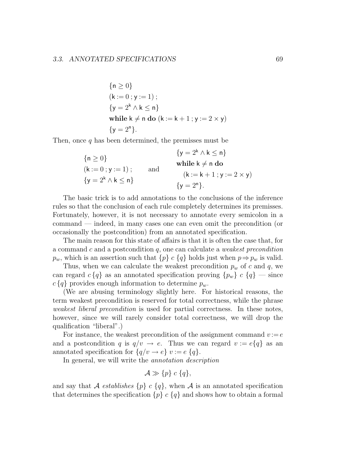{
$$
n \ge 0
$$
}  
\n( $k := 0$ ;  $y := 1$ );  
\n{ $y = 2k \wedge k \le n$ }  
\nwhile  $k \ne n$  do ( $k := k + 1$ ;  $y := 2 \times y$ )  
\n{ $y = 2n$ }.

Then, once q has been determined, the premisses must be

$$
\begin{aligned}\n\{n \ge 0\} &\qquad \{y = 2^k \land k \le n\} \\
(k := 0; y := 1); &\qquad \text{and} &\qquad \mathsf{(k := k + 1; y := 2 \times y)} \\
\{y = 2^k \land k \le n\} &\qquad \{y = 2^n\}.\n\end{aligned}
$$

The basic trick is to add annotations to the conclusions of the inference rules so that the conclusion of each rule completely determines its premisses. Fortunately, however, it is not necessary to annotate every semicolon in a command — indeed, in many cases one can even omit the precondition (or occasionally the postcondition) from an annotated specification.

The main reason for this state of affairs is that it is often the case that, for a command c and a postcondition q, one can calculate a *weakest precondition*  $p_w$ , which is an assertion such that  $\{p\}$  c  $\{q\}$  holds just when  $p \Rightarrow p_w$  is valid.

Thus, when we can calculate the weakest precondition  $p_w$  of c and q, we can regard  $c \{q\}$  as an annotated specification proving  $\{p_w\}$   $c \{q\}$  — since  $c \{q\}$  provides enough information to determine  $p_w$ .

(We are abusing terminology slightly here. For historical reasons, the term weakest precondition is reserved for total correctness, while the phrase weakest liberal precondition is used for partial correctness. In these notes, however, since we will rarely consider total correctness, we will drop the qualification "liberal".)

For instance, the weakest precondition of the assignment command  $v := e$ and a postcondition q is  $q/v \rightarrow e$ . Thus we can regard  $v := e\{q\}$  as an annotated specification for  $\{q/v \to e\} v := e \{q\}.$ 

In general, we will write the annotation description

$$
\mathcal{A} \gg \{p\} \ c \ \{q\},\
$$

and say that A establishes  $\{p\}$  c  $\{q\}$ , when A is an annotated specification that determines the specification  ${p} c {q}$  and shows how to obtain a formal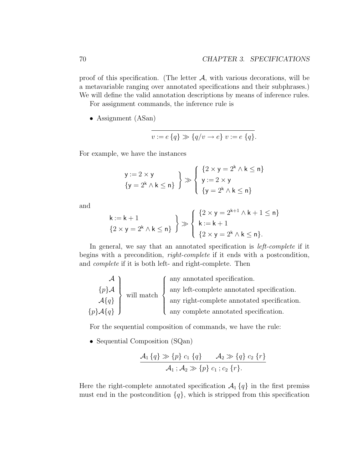proof of this specification. (The letter  $A$ , with various decorations, will be a metavariable ranging over annotated specifications and their subphrases.) We will define the valid annotation descriptions by means of inference rules.

For assignment commands, the inference rule is

• Assignment (ASan)

$$
v := e \{q\} \gg \{q/v \to e\} \ v := e \{q\}.
$$

For example, we have the instances

$$
y := 2 \times y
$$
  
\n
$$
\{y = 2^k \wedge k \le n\} \quad \} \gg \left\{ \begin{array}{l} \{2 \times y = 2^k \wedge k \le n\} \\ y := 2 \times y \\ \{y = 2^k \wedge k \le n\} \end{array} \right.
$$

and

$$
\begin{array}{l} k := k+1 \\ \{2\times y = 2^k \wedge k \leq n\} \end{array} \bigg\} \gg \left\{ \begin{array}{l} \{2\times y = 2^{k+1} \wedge k+1 \leq n\} \\ k := k+1 \\ \{2\times y = 2^k \wedge k \leq n\}. \end{array} \right.
$$

In general, we say that an annotated specification is *left-complete* if it begins with a precondition, right-complete if it ends with a postcondition, and complete if it is both left- and right-complete. Then

$$
\mathcal{A}\left\{\boldsymbol{q}\right\}
$$
 will match  
\n
$$
\left\{\boldsymbol{p}\right\}\mathcal{A}\left\{\boldsymbol{q}\right\}
$$
 will match  
\n
$$
\left\{\boldsymbol{p}\right\}\mathcal{A}\left\{\boldsymbol{q}\right\}
$$
 will match  
\nany right-complete annotated specification.  
\nany complete annotated specification.

For the sequential composition of commands, we have the rule:

• Sequential Composition (SQan)

$$
\frac{\mathcal{A}_1\{q\} \gg \{p\} \ c_1\{q\} \qquad \mathcal{A}_2 \gg \{q\} \ c_2\{r\}}{\mathcal{A}_1 \ ; \mathcal{A}_2 \gg \{p\} \ c_1 \ ; c_2\{r\}}.
$$

Here the right-complete annotated specification  $\mathcal{A}_1\{q\}$  in the first premiss must end in the postcondition  ${q}$ , which is stripped from this specification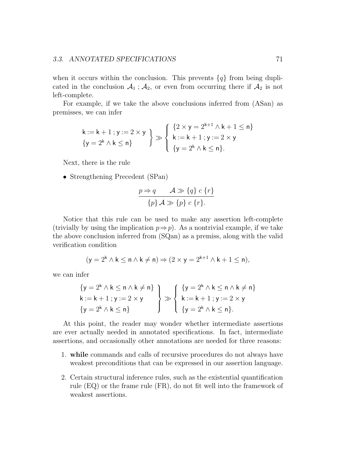when it occurs within the conclusion. This prevents  $\{q\}$  from being duplicated in the conclusion  $A_1$ ;  $A_2$ , or even from occurring there if  $A_2$  is not left-complete.

For example, if we take the above conclusions inferred from (ASan) as premisses, we can infer

$$
\begin{aligned}\nk &:= k+1 \ ; y := 2 \times y \\
\{y = 2^k \land k \leq n\} \end{aligned}\n\geqslant\n\begin{cases}\n\{2 \times y = 2^{k+1} \land k+1 \leq n\} \\
k &:= k+1 \ ; y := 2 \times y \\
\{y = 2^k \land k \leq n\}.\n\end{cases}
$$

Next, there is the rule

• Strengthening Precedent (SPan)

$$
\frac{p \Rightarrow q \qquad \mathcal{A} \gg \{q\} \ c \ \{r\}}{\{p\} \ \mathcal{A} \gg \{p\} \ c \ \{r\}}.
$$

Notice that this rule can be used to make any assertion left-complete (trivially by using the implication  $p \Rightarrow p$ ). As a nontrivial example, if we take the above conclusion inferred from (SQan) as a premiss, along with the valid verification condition

$$
(\mathsf{y} = 2^{\mathsf{k}} \land \mathsf{k} \le \mathsf{n} \land \mathsf{k} \ne \mathsf{n}) \Rightarrow (2 \times \mathsf{y} = 2^{\mathsf{k}+1} \land \mathsf{k} + 1 \le \mathsf{n}),
$$

we can infer

$$
\{y = 2^{k} \wedge k \le n \wedge k \ne n\}
$$
\n
$$
k := k + 1; y := 2 \times y
$$
\n
$$
\{y = 2^{k} \wedge k \le n\}
$$
\n
$$
\{y = 2^{k} \wedge k \le n\}
$$
\n
$$
\{y = 2^{k} \wedge k \le n\}
$$
\n
$$
\{y = 2^{k} \wedge k \le n\}
$$

At this point, the reader may wonder whether intermediate assertions are ever actually needed in annotated specifications. In fact, intermediate assertions, and occasionally other annotations are needed for three reasons:

- 1. while commands and calls of recursive procedures do not always have weakest preconditions that can be expressed in our assertion language.
- 2. Certain structural inference rules, such as the existential quantification rule (EQ) or the frame rule (FR), do not fit well into the framework of weakest assertions.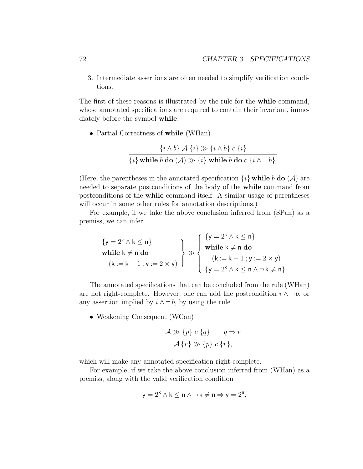3. Intermediate assertions are often needed to simplify verification conditions.

The first of these reasons is illustrated by the rule for the while command, whose annotated specifications are required to contain their invariant, immediately before the symbol while:

• Partial Correctness of while (WHan)

$$
\frac{\{i \wedge b\} \mathcal{A} \{i\} \gg \{i \wedge b\} \ c \{i\}}{\{i\} \text{ while } b \text{ do } (\mathcal{A}) \gg \{i\} \text{ while } b \text{ do } c \{i \wedge \neg b\}}.
$$

(Here, the parentheses in the annotated specification  $\{i\}$  while b do  $(\mathcal{A})$  are needed to separate postconditions of the body of the while command from postconditions of the while command itself. A similar usage of parentheses will occur in some other rules for annotation descriptions.)

For example, if we take the above conclusion inferred from (SPan) as a premiss, we can infer

$$
\{y = 2^k \wedge k \le n\}
$$
\n
$$
\text{while } k \ne n \text{ do}
$$
\n
$$
(k := k + 1; y := 2 \times y)
$$
\n
$$
\left\{\n\begin{array}{l}\n\{y = 2^k \wedge k \le n\} \\
\text{while } k \ne n \text{ do} \\
(k := k + 1; y := 2 \times y)\n\end{array}\n\right\}
$$
\n
$$
\left\{\n\begin{array}{l}\n\{y = 2^k \wedge k \le n\} \\
\text{while } k \ne n \text{ do} \\
\{y = 2^k \wedge k \le n \wedge \neg k \ne n\}.\n\end{array}\n\right.
$$

The annotated specifications that can be concluded from the rule (WHan) are not right-complete. However, one can add the postcondition  $i \wedge \neg b$ , or any assertion implied by  $i \wedge \neg b$ , by using the rule

• Weakening Consequent (WCan)

$$
\frac{\mathcal{A} \gg \{p\} \ c \{q\}}{\mathcal{A} \{r\} \gg \{p\} \ c \{r\},}
$$

which will make any annotated specification right-complete.

For example, if we take the above conclusion inferred from (WHan) as a premiss, along with the valid verification condition

$$
y = 2^k \wedge k \le n \wedge \neg k \ne n \Rightarrow y = 2^n,
$$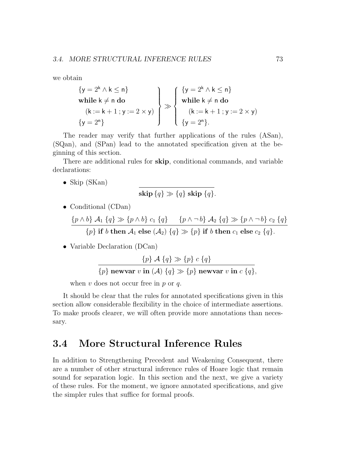we obtain

$$
\{y = 2^{k} \land k \le n\}
$$
  
while  $k \ne n$  do  

$$
(k := k + 1; y := 2 \times y)
$$

$$
\{y = 2^{n}\}
$$

$$
\left\{\n\begin{array}{l}\n\{y = 2^{k} \land k \le n\} \\
\text{while } k \ne n \text{ do} \\
(k := k + 1; y := 2 \times y)\n\end{array}\n\right\}
$$

$$
\left\{\n\begin{array}{l}\n\{y = 2^{k} \land k \le n\} \\
\text{while } k \ne n \text{ do} \\
(k := k + 1; y := 2 \times y)\n\end{array}\n\right\}
$$

The reader may verify that further applications of the rules (ASan), (SQan), and (SPan) lead to the annotated specification given at the beginning of this section.

There are additional rules for skip, conditional commands, and variable declarations:

• Skip (SKan)

$$
\operatorname{skip}\{q\} \gg \{q\} \operatorname{skip} \{q\}.
$$

• Conditional (CDan)

$$
\frac{\{p \wedge b\} \mathcal{A}_1 \{q\} \gg \{p \wedge b\} \ c_1 \{q\} \qquad \{p \wedge \neg b\} \mathcal{A}_2 \{q\} \gg \{p \wedge \neg b\} \ c_2 \{q\}}{\{p\} \text{ if } b \text{ then } \mathcal{A}_1 \text{ else } (\mathcal{A}_2) \{q\} \gg \{p\} \text{ if } b \text{ then } c_1 \text{ else } c_2 \{q\}}.
$$

• Variable Declaration (DCan)

$$
\{p\} \mathcal{A} \{q\} \gg \{p\} \ c \{q\}
$$

$$
\{p\} \text{ newvar } v \text{ in } (\mathcal{A}) \{q\} \gg \{p\} \text{ newvar } v \text{ in } c \{q\},\
$$

when  $v$  does not occur free in  $p$  or  $q$ .

It should be clear that the rules for annotated specifications given in this section allow considerable flexibility in the choice of intermediate assertions. To make proofs clearer, we will often provide more annotations than necessary.

#### 3.4 More Structural Inference Rules

In addition to Strengthening Precedent and Weakening Consequent, there are a number of other structural inference rules of Hoare logic that remain sound for separation logic. In this section and the next, we give a variety of these rules. For the moment, we ignore annotated specifications, and give the simpler rules that suffice for formal proofs.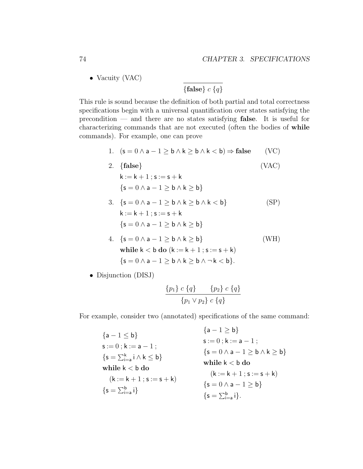• Vacuity (VAC)

$$
\{\mathbf{false}\}\ c\ \{q\}
$$

This rule is sound because the definition of both partial and total correctness specifications begin with a universal quantification over states satisfying the precondition — and there are no states satisfying false. It is useful for characterizing commands that are not executed (often the bodies of while commands). For example, one can prove

1.  $(s = 0 \land a - 1 > b \land k > b \land k < b) \Rightarrow false$  (VC)

- 2.  ${false}$  (VAC)  $k := k + 1$ ;  $s := s + k$  ${s = 0 \land a - 1 > b \land k > b}$
- 3.  $\{s = 0 \land a 1 > b \land k > b \land k < b\}$  (SP)  $k := k + 1$ ;  $s := s + k$  ${s = 0 \land a - 1 > b \land k > b}$
- 4. {s = 0  $\land$  a 1 > b  $\land$  k > b} (WH) while  $k < b$  do  $(k := k + 1; s := s + k)$  ${s = 0 \land a - 1 > b \land k > b \land \neg k < b}.$
- Disjunction (DISJ)

$$
\frac{\{p_1\} \ c \ \{q\}}{\{p_1 \vee p_2\} \ c \ \{q\}}
$$

For example, consider two (annotated) specifications of the same command:

 ${a-1 \leq b}$  $s := 0$  ;  $k := a - 1$  ;  $\{{\sf s}=\sum_{\sf i=a}^{\sf k}{\sf i}\wedge{\sf k}\leq{\sf b}\}$ while  $k < b$  do  $(k := k + 1 ; s := s + k)$  $\{s=\sum_{i=a}^b i\}$  ${a - 1 > b}$  $s := 0$  ;  $k := a - 1$  ;  ${s = 0 \land a - 1 \ge b \land k \ge b}$ while  $k < b$  do  $(k := k + 1 : s := s + k)$  ${s = 0 \land a - 1 > b}$  $\{s=\sum_{i=a}^b i\}.$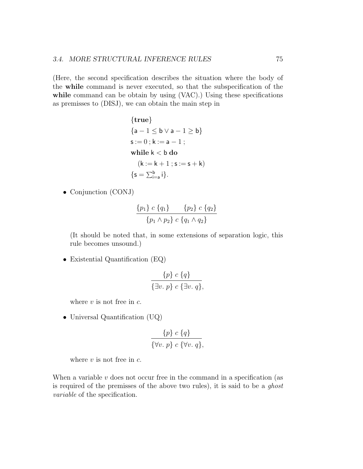(Here, the second specification describes the situation where the body of the while command is never executed, so that the subspecification of the while command can be obtain by using (VAC).) Using these specifications as premisses to (DISJ), we can obtain the main step in

$$
{\bf true} \n{a-1 \le b \lor a-1 \ge b} \ns := 0; k := a-1; \nwhile k < b \ do \n(k := k+1; s := s+k) \n{s = \sum_{i=a}^{b} i}.
$$

• Conjunction (CONJ)

$$
\frac{\{p_1\} c \{q_1\}}{\{p_1 \land p_2\} c \{q_1 \land q_2\}}
$$

(It should be noted that, in some extensions of separation logic, this rule becomes unsound.)

• Existential Quantification (EQ)

$$
\frac{\{p\} c \{q\}}{\{\exists v. p\} c \{\exists v. q\}},
$$

where  $v$  is not free in  $c$ .

• Universal Quantification (UQ)

$$
\frac{\{p\} c \{q\}}{\{\forall v. p\} c \{\forall v. q\}},
$$

where  $v$  is not free in  $c$ .

When a variable  $v$  does not occur free in the command in a specification (as is required of the premisses of the above two rules), it is said to be a ghost variable of the specification.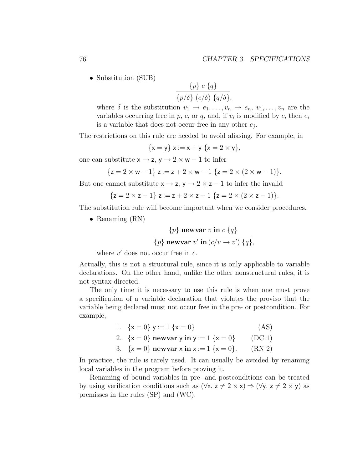• Substitution (SUB)

$$
\frac{\{p\} c \{q\}}{\{p/\delta\} (c/\delta) \{q/\delta\}},
$$

where  $\delta$  is the substitution  $v_1 \to e_1, \ldots, v_n \to e_n, v_1, \ldots, v_n$  are the variables occurring free in  $p$ ,  $c$ , or  $q$ , and, if  $v_i$  is modified by  $c$ , then  $e_i$ is a variable that does not occur free in any other  $e_j$ .

The restrictions on this rule are needed to avoid aliasing. For example, in

$$
\{x = y\} \ x := x + y \ \{x = 2 \times y\},
$$

one can substitute  $x \rightarrow z$ ,  $y \rightarrow 2 \times w - 1$  to infer

$$
\{z = 2 \times w - 1\} \; z := z + 2 \times w - 1 \; \{z = 2 \times (2 \times w - 1)\}.
$$

But one cannot substitute  $x \rightarrow z$ ,  $y \rightarrow 2 \times z - 1$  to infer the invalid

$$
{z = 2 \times z - 1} z := z + 2 \times z - 1 {z = 2 \times (2 \times z - 1)}.
$$

The substitution rule will become important when we consider procedures.

• Renaming (RN)

$$
\frac{\{p\} \text{ newvar } v \text{ in } c \{q\}}{\{p\} \text{ newvar } v' \text{ in } (c/v \to v') \{q\}},
$$

where  $v'$  does not occur free in  $c$ .

Actually, this is not a structural rule, since it is only applicable to variable declarations. On the other hand, unlike the other nonstructural rules, it is not syntax-directed.

The only time it is necessary to use this rule is when one must prove a specification of a variable declaration that violates the proviso that the variable being declared must not occur free in the pre- or postcondition. For example,

| 1. $\{x = 0\}$ y := 1 $\{x = 0\}$                              | (AS)     |
|----------------------------------------------------------------|----------|
| 2. $\{x = 0\}$ newvar y in y := 1 $\{x = 0\}$                  | $(DC_1)$ |
| 3. $\{x = 0\}$ newvar $x \text{ in } x := 1 \{x = 0\}.$ (RN 2) |          |

In practice, the rule is rarely used. It can usually be avoided by renaming local variables in the program before proving it.

Renaming of bound variables in pre- and postconditions can be treated by using verification conditions such as  $(\forall x. z \neq 2 \times x) \Rightarrow (\forall y. z \neq 2 \times y)$  as premisses in the rules (SP) and (WC).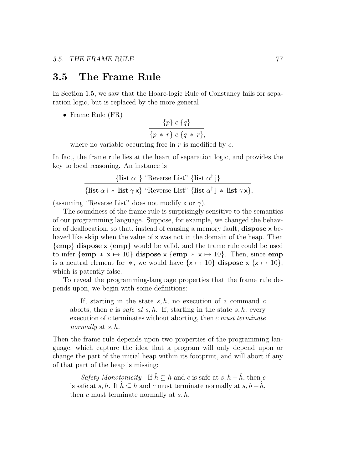#### 3.5 The Frame Rule

In Section 1.5, we saw that the Hoare-logic Rule of Constancy fails for separation logic, but is replaced by the more general

• Frame Rule (FR)

$$
\frac{\{p\} c \{q\}}{\{p \ * \ r\} c \{q \ * \ r\}},
$$

where no variable occurring free in  $r$  is modified by  $c$ .

In fact, the frame rule lies at the heart of separation logic, and provides the key to local reasoning. An instance is

$$
\frac{\{\text{list } \alpha \text{ i}\} \text{ "Reverse List" } \{\text{list } \alpha^\dagger \text{ j}\}}{\{\text{list } \alpha \text{ i } * \text{ list } \gamma \text{ x}\} \text{ "Reverse List" } \{\text{list } \alpha^\dagger \text{ j } * \text{ list } \gamma \text{ x}\},\}
$$

(assuming "Reverse List" does not modify x or  $\gamma$ ).

The soundness of the frame rule is surprisingly sensitive to the semantics of our programming language. Suppose, for example, we changed the behavior of deallocation, so that, instead of causing a memory fault, dispose x behaved like **skip** when the value of  $\times$  was not in the domain of the heap. Then {emp} dispose x {emp} would be valid, and the frame rule could be used to infer {emp  $* x \mapsto 10$ } dispose  $x \{emp * x \mapsto 10\}$ . Then, since emp is a neutral element for  $*$ , we would have  $\{x \mapsto 10\}$  dispose  $x \{x \mapsto 10\}$ , which is patently false.

To reveal the programming-language properties that the frame rule depends upon, we begin with some definitions:

If, starting in the state  $s, h$ , no execution of a command  $c$ aborts, then c is safe at  $s, h$ . If, starting in the state  $s, h$ , every execution of c terminates without aborting, then c must terminate normally at  $s, h$ .

Then the frame rule depends upon two properties of the programming language, which capture the idea that a program will only depend upon or change the part of the initial heap within its footprint, and will abort if any of that part of the heap is missing:

Safety Monotonicity If  $\hat{h} \subseteq h$  and c is safe at  $s, h - \hat{h}$ , then c is safe at s, h. If  $h \subseteq h$  and c must terminate normally at s,  $h-h$ , then c must terminate normally at  $s, h$ .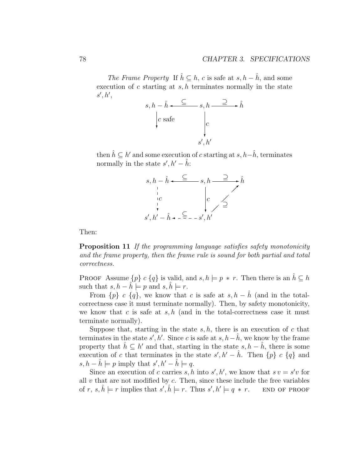The Frame Property If  $\hat{h} \subseteq h$ , c is safe at  $s, h - \hat{h}$ , and some execution of  $c$  starting at  $s, h$  terminates normally in the state  $s', h',$ 



then  $\hat{h} \subseteq h'$  and some execution of c starting at  $s, h-\hat{h}$ , terminates normally in the state  $s', h' - \hat{h}$ :



Then:

Proposition 11 If the programming language satisfies safety monotonicity and the frame property, then the frame rule is sound for both partial and total correctness.

PROOF Assume  $\{p\}$  c  $\{q\}$  is valid, and  $s, h \models p * r$ . Then there is an  $\hat{h} \subseteq h$ such that  $s, h - h \models p$  and  $s, h \models r$ .

From  $\{p\}$  c  $\{q\}$ , we know that c is safe at  $s, h - \hat{h}$  (and in the totalcorrectness case it must terminate normally). Then, by safety monotonicity, we know that c is safe at  $s, h$  (and in the total-correctness case it must terminate normally).

Suppose that, starting in the state  $s, h$ , there is an execution of c that terminates in the state  $s', h'$ . Since c is safe at  $s, h-\hat{h}$ , we know by the frame property that  $\hat{h} \subseteq h'$  and that, starting in the state  $s, h - \hat{h}$ , there is some execution of c that terminates in the state  $s', h' - \hat{h}$ . Then  $\{p\}$  c  $\{q\}$  and  $s, h - \hat{h} \models p$  imply that  $s', h' - \hat{h} \models q$ .

Since an execution of c carries s, h into  $s', h'$ , we know that  $s v = s'v$  for all  $v$  that are not modified by  $c$ . Then, since these include the free variables of r,  $s, \hat{h} \models r$  implies that  $s', \hat{h} \models r$ . Thus  $s', h'$ END OF PROOF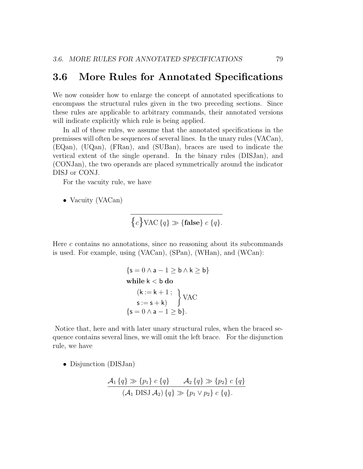#### 3.6 More Rules for Annotated Specifications

We now consider how to enlarge the concept of annotated specifications to encompass the structural rules given in the two preceding sections. Since these rules are applicable to arbitrary commands, their annotated versions will indicate explicitly which rule is being applied.

In all of these rules, we assume that the annotated specifications in the premisses will often be sequences of several lines. In the unary rules (VACan), (EQan), (UQan), (FRan), and (SUBan), braces are used to indicate the vertical extent of the single operand. In the binary rules (DISJan), and (CONJan), the two operands are placed symmetrically around the indicator DISJ or CONJ.

For the vacuity rule, we have

• Vacuity (VACan)

$$
\{c\} \text{VAC} \{q\} \gg \{\text{false}\} \ c \{q\}.
$$

Here  $c$  contains no annotations, since no reasoning about its subcommands is used. For example, using (VACan), (SPan), (WHan), and (WCan):

$$
\{s = 0 \land a - 1 \ge b \land k \ge b\}
$$
  
while k < b do  

$$
(k := k + 1 ;
$$

$$
s := s + k)
$$

$$
\{s = 0 \land a - 1 \ge b\}.
$$

Notice that, here and with later unary structural rules, when the braced sequence contains several lines, we will omit the left brace. For the disjunction rule, we have

• Disjunction (DISJan)

$$
\frac{\mathcal{A}_1\{q\} \gg \{p_1\} \ c \{q\} \qquad \mathcal{A}_2\{q\} \gg \{p_2\} \ c \{q\}}{(\mathcal{A}_1 \text{ DISJ } \mathcal{A}_2) \{q\} \gg \{p_1 \lor p_2\} \ c \{q\}}.
$$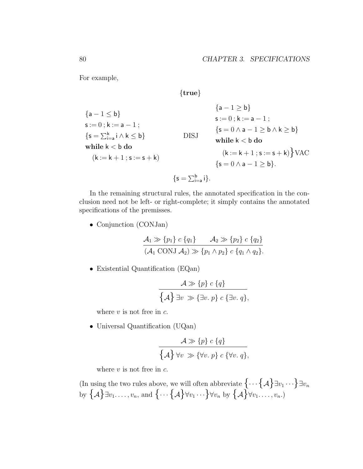For example,

 ${a - 1 \le b}$  $s := 0$ ;  $k := a - 1$ ;  $\{{\sf s}=\sum_{\sf i=a}^{\sf k}{\sf i}\wedge{\sf k}\leq{\sf b}\}$ while  $\mathsf{k}<\mathsf{b}$  do  $(k := k + 1 ; s := s + k)$ DISJ  ${a - 1 > b}$  $s := 0$ ;  $k := a - 1$ ;  ${s = 0 \land a - 1 \ge b \land k \ge b}$ while  $k < b$  do  $(k := k + 1 ; s := s + k)$  VAC  ${s = 0 \land a - 1 > b}.$ 

{true}

$$
\{s=\textstyle\sum_{i=a}^bi\}.
$$

In the remaining structural rules, the annotated specification in the conclusion need not be left- or right-complete; it simply contains the annotated specifications of the premisses.

• Conjunction (CONJan)

$$
\frac{\mathcal{A}_1 \gg \{p_1\} \ c \{q_1\}}{(\mathcal{A}_1 \text{ CONJ } \mathcal{A}_2) \gg \{p_1 \land p_2\} \ c \{q_1 \land q_2\}}.
$$

• Existential Quantification (EQan)

$$
\mathcal{A} \gg \{p\} c \{q\}
$$

$$
\{\mathcal{A}\} \exists v \gg \{\exists v. p\} c \{\exists v. q\},\
$$

where  $v$  is not free in  $c$ .

• Universal Quantification (UQan)

$$
\mathcal{A} \gg \{p\} c \{q\}
$$

$$
\{\mathcal{A}\} \forall v \gg \{\forall v. p\} c \{\forall v. q\},\
$$

where  $v$  is not free in  $c$ .

(In using the two rules above, we will often abbreviate  $\{\cdots \{A\} \exists v_1 \cdots \} \exists v_n$ by  $\{\mathcal{A}\}\exists v_1.\dots,v_n$ , and  $\{\dots\{\mathcal{A}\}\forall v_1\cdots\}\forall v_n$  by  $\{\mathcal{A}\}\forall v_1.\dots,v_n$ .)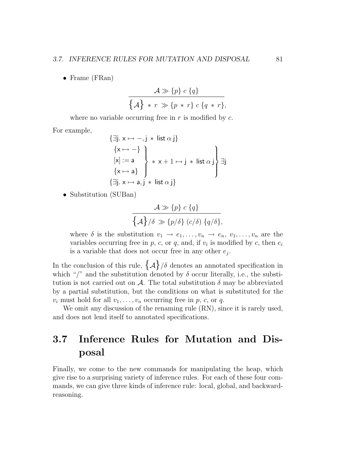• Frame (FRan)

$$
\frac{\mathcal{A} \gg \{p\} \ c \ \{q\}}{\{\mathcal{A}\} \ * \ r \gg \{p \ * \ r\} \ c \ \{q \ * \ r\}},
$$

where no variable occurring free in  $r$  is modified by  $c$ .

For example,

$$
\{\exists j. x \mapsto -, j * list \alpha j\}
$$
  
\n
$$
\{x \mapsto -\}
$$
  
\n
$$
[x] := a
$$
  
\n
$$
\{x \mapsto a\}
$$
  
\n
$$
\{\exists j. x \mapsto a, j * list \alpha j\}
$$
  
\n
$$
\{\exists j. x \mapsto a, j * list \alpha j\}
$$

• Substitution (SUBan)

$$
\frac{\mathcal{A} \gg \{p\} \ c \{q\}}{\{\mathcal{A}\}/\delta \gg \{p/\delta\} \ (c/\delta) \ \{q/\delta\}},
$$

where  $\delta$  is the substitution  $v_1 \to e_1, \ldots, v_n \to e_n, v_1, \ldots, v_n$  are the variables occurring free in  $p$ ,  $c$ , or  $q$ , and, if  $v_i$  is modified by  $c$ , then  $e_i$ is a variable that does not occur free in any other  $e_j$ .

In the conclusion of this rule,  $\{\mathcal{A}\}/\delta$  denotes an annotated specification in which "/" and the substitution denoted by  $\delta$  occur literally, i.e., the substitution is not carried out on A. The total substitution  $\delta$  may be abbreviated by a partial substitution, but the conditions on what is substituted for the  $v_i$  must hold for all  $v_1, \ldots, v_n$  occurring free in p, c, or q.

We omit any discussion of the renaming rule  $(RN)$ , since it is rarely used, and does not lend itself to annotated specifications.

## 3.7 Inference Rules for Mutation and Disposal

Finally, we come to the new commands for manipulating the heap, which give rise to a surprising variety of inference rules. For each of these four commands, we can give three kinds of inference rule: local, global, and backwardreasoning.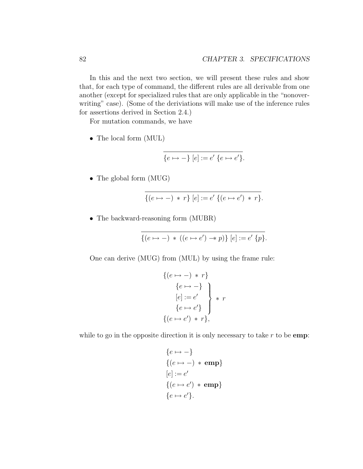In this and the next two section, we will present these rules and show that, for each type of command, the different rules are all derivable from one another (except for specialized rules that are only applicable in the "nonoverwriting" case). (Some of the deriviations will make use of the inference rules for assertions derived in Section 2.4.)

For mutation commands, we have

• The local form (MUL)

$$
\overline{\{e \mapsto -\} [e] := e' \{e \mapsto e'\}}.
$$

• The global form (MUG)

$$
\{(e \mapsto -) * r\} [e] := e' \{(e \mapsto e') * r\}.
$$

• The backward-reasoning form (MUBR)

$$
\{(e \mapsto -) * ((e \mapsto e') \twoheadrightarrow p)\} [e] := e' \{p\}.
$$

One can derive (MUG) from (MUL) by using the frame rule:

$$
\begin{aligned}\n\{(e \mapsto -) * r\} \\
\{e \mapsto -\} \\
[e] := e' \\
\{e \mapsto e'\}\n\end{aligned}\n\} * r
$$
\n
$$
\{(e \mapsto e') * r\},
$$

while to go in the opposite direction it is only necessary to take  $r$  to be emp:

$$
{e \mapsto -}
$$
  
\n
$$
{e \mapsto -} * emp
$$
  
\n
$$
[e] := e'
$$
  
\n
$$
{e \mapsto e'}
$$
 \* emp}  
\n
$$
{e \mapsto e'}
$$
.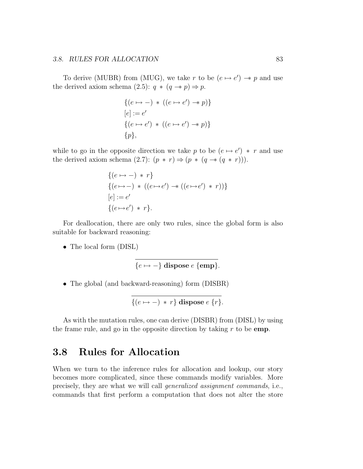#### 3.8. RULES FOR ALLOCATION 83

To derive (MUBR) from (MUG), we take r to be  $(e \mapsto e') \rightarrow p$  and use the derived axiom schema (2.5):  $q * (q \rightarrow p) \Rightarrow p$ .

$$
\{(e \mapsto -) * ((e \mapsto e') \rightarrow p)\}
$$
  
\n
$$
[e] := e'
$$
  
\n
$$
\{(e \mapsto e') * ((e \mapsto e') \rightarrow p)\}
$$
  
\n
$$
\{p\},
$$

while to go in the opposite direction we take p to be  $(e \mapsto e') * r$  and use the derived axiom schema (2.7):  $(p * r) \Rightarrow (p * (q \rightarrow (q * r))).$ 

$$
\{(e \mapsto -) * r\}
$$
  

$$
\{(e \mapsto -) * ((e \mapsto e') \rightarrow ((e \mapsto e') * r))\}
$$
  

$$
[e] := e'
$$
  

$$
\{(e \mapsto e') * r\}.
$$

For deallocation, there are only two rules, since the global form is also suitable for backward reasoning:

• The local form (DISL)

$$
\{e \mapsto -\} \text{ dispose } e \text{ } \{\text{emp}\}.
$$

• The global (and backward-reasoning) form (DISBR)

$$
\{(e \mapsto -) * r\} \text{ dispose } e \{r\}.
$$

As with the mutation rules, one can derive (DISBR) from (DISL) by using the frame rule, and go in the opposite direction by taking  $r$  to be emp.

#### 3.8 Rules for Allocation

When we turn to the inference rules for allocation and lookup, our story becomes more complicated, since these commands modify variables. More precisely, they are what we will call generalized assignment commands, i.e., commands that first perform a computation that does not alter the store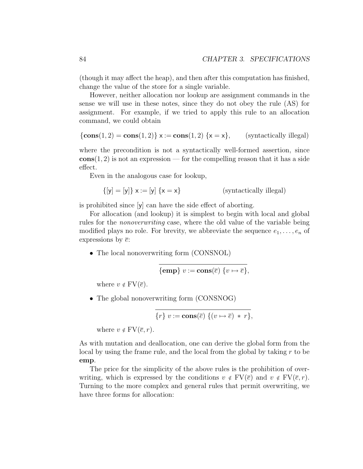(though it may affect the heap), and then after this computation has finished, change the value of the store for a single variable.

However, neither allocation nor lookup are assignment commands in the sense we will use in these notes, since they do not obey the rule (AS) for assignment. For example, if we tried to apply this rule to an allocation command, we could obtain

$$
\{\mathbf{cons}(1,2) = \mathbf{cons}(1,2)\} \times := \mathbf{cons}(1,2) \{x = x\}, \qquad \text{(syntactically illegal)}
$$

where the precondition is not a syntactically well-formed assertion, since  $\text{cons}(1, 2)$  is not an expression — for the compelling reason that it has a side effect.

Even in the analogous case for lookup,

$$
\{[y] = [y]\} \mathbf{x} := [y] \{ \mathbf{x} = \mathbf{x} \}
$$
 (syntactically illegal)

is prohibited since [y] can have the side effect of aborting.

For allocation (and lookup) it is simplest to begin with local and global rules for the nonoverwriting case, where the old value of the variable being modified plays no role. For brevity, we abbreviate the sequence  $e_1, \ldots, e_n$  of expressions by  $\bar{e}$ :

• The local nonoverwriting form (CONSNOL)

$$
\{\mathbf{emp}\} v := \mathbf{cons}(\overline{e}) \{v \mapsto \overline{e}\},
$$

where  $v \notin FV(\overline{e})$ .

• The global nonoverwriting form (CONSNOG)

$$
\{r\} \ v := \mathbf{cons}(\overline{e}) \ \{ (v \mapsto \overline{e}) \ * \ r \},
$$

where  $v \notin FV(\overline{e}, r)$ .

As with mutation and deallocation, one can derive the global form from the local by using the frame rule, and the local from the global by taking r to be emp.

The price for the simplicity of the above rules is the prohibition of overwriting, which is expressed by the conditions  $v \notin FV(\overline{e})$  and  $v \notin FV(\overline{e}, r)$ . Turning to the more complex and general rules that permit overwriting, we have three forms for allocation: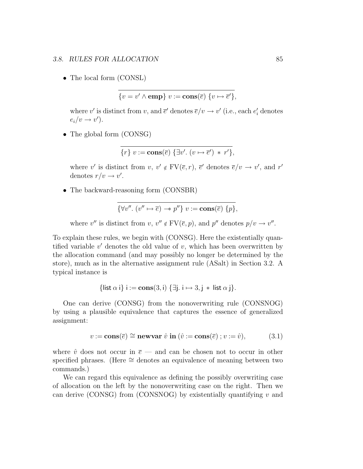#### 3.8. RULES FOR ALLOCATION 85

• The local form (CONSL)

$$
\{v = v' \wedge \text{emp}\} \ v := \text{cons}(\overline{e}) \ \{v \mapsto \overline{e}'\},\
$$

where  $v'$  is distinct from  $v$ , and  $\bar{e}'$  denotes  $\bar{e}/v \to v'$  (i.e., each  $e'_i$  denotes  $e_i/v \rightarrow v'$ ).

• The global form (CONSG)

$$
\{r\} v := \mathbf{cons}(\overline{e}) \{ \exists v'. (v \mapsto \overline{e}') * r' \},
$$

where v' is distinct from  $v, v' \notin FV(\overline{e}, r), \overline{e}'$  denotes  $\overline{e}/v \to v'$ , and r' denotes  $r/v \rightarrow v'$ .

• The backward-reasoning form (CONSBR)

$$
\{\forall v''.\ (v'' \mapsto \overline{e}) \rightarrow v''\} \ v := \mathbf{cons}(\overline{e}) \ \{p\},\
$$

where  $v''$  is distinct from  $v, v'' \notin FV(\overline{e}, p)$ , and  $p''$  denotes  $p/v \to v''$ .

To explain these rules, we begin with (CONSG). Here the existentially quantified variable  $v'$  denotes the old value of  $v$ , which has been overwritten by the allocation command (and may possibly no longer be determined by the store), much as in the alternative assignment rule (ASalt) in Section 3.2. A typical instance is

$$
\{\text{list } \alpha \text{ i}\} \text{ i} := \text{cons}(3, \text{i}) \{\exists \text{j. i} \mapsto 3, \text{j} * \text{ list } \alpha \text{ j}\}.
$$

One can derive (CONSG) from the nonoverwriting rule (CONSNOG) by using a plausible equivalence that captures the essence of generalized assignment:

$$
v := \mathbf{cons}(\overline{e}) \cong \mathbf{newvar} \hat{v} \mathbf{in} (\hat{v} := \mathbf{cons}(\overline{e}) ; v := \hat{v}), \tag{3.1}
$$

where  $\hat{v}$  does not occur in  $\bar{e}$  — and can be chosen not to occur in other specified phrases. (Here ≅ denotes an equivalence of meaning between two commands.)

We can regard this equivalence as defining the possibly overwriting case of allocation on the left by the nonoverwriting case on the right. Then we can derive (CONSG) from (CONSNOG) by existentially quantifying  $v$  and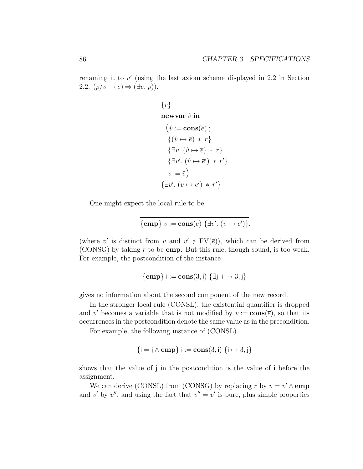renaming it to  $v'$  (using the last axiom schema displayed in 2.2 in Section 2.2:  $(p/v \rightarrow e) \Rightarrow (\exists v.\ p)$ ).

```
\{r\}newvar \hat{v} in
  (\hat{v} := \mathbf{cons}(\overline{e});
    \{(\hat{v} \mapsto \overline{e}) * r\}\{\exists v.\ (\hat{v}\mapsto\overline{e})\ * \ r\}\{\exists v'. (\hat{v} \mapsto \overline{e}') * r'\}v := \hat{v})
\{\exists v'. (v \mapsto \overline{e}') * r'\}
```
One might expect the local rule to be

$$
\{\mathbf{emp}\} \ v := \mathbf{cons}(\overline{e}) \ \{\exists v'. \ (v \mapsto \overline{e}')\},
$$

(where v' is distinct from v and  $v' \notin FV(\overline{e})$ ), which can be derived from (CONSG) by taking  $r$  to be **emp**. But this rule, though sound, is too weak. For example, the postcondition of the instance

$$
{\bf \{emp\}}\ i := \mathbf{cons}(3,i) \ {\exists j.\ i \mapsto 3, j\}
$$

gives no information about the second component of the new record.

In the stronger local rule (CONSL), the existential quantifier is dropped and v' becomes a variable that is not modified by  $v := \mathbf{cons}(\overline{e})$ , so that its occurrences in the postcondition denote the same value as in the precondition.

For example, the following instance of (CONSL)

$$
\{i = j \land emp\} i := cons(3, i) \{i \mapsto 3, j\}
$$

shows that the value of j in the postcondition is the value of i before the assignment.

We can derive (CONSL) from (CONSG) by replacing r by  $v = v' \wedge \text{emp}$ and v' by v'', and using the fact that  $v'' = v'$  is pure, plus simple properties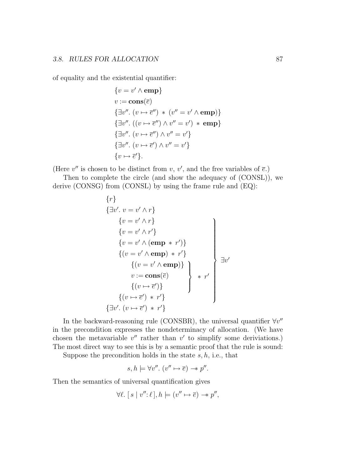of equality and the existential quantifier:

$$
\{v = v' \land \text{emp}\}
$$
  
\n
$$
v := \text{cons}(\overline{e})
$$
  
\n
$$
\{\exists v''. \ (v \mapsto \overline{e}'') \ * \ (v'' = v' \land \text{emp})\}
$$
  
\n
$$
\{\exists v''. \ ((v \mapsto \overline{e}'') \land v'' = v') \ * \text{emp}\}
$$
  
\n
$$
\{\exists v''. \ (v \mapsto \overline{e}') \land v'' = v'\}
$$
  
\n
$$
\{v \mapsto \overline{e}'\}.
$$

(Here  $v''$  is chosen to be distinct from  $v, v'$ , and the free variables of  $\overline{e}$ .)

Then to complete the circle (and show the adequacy of (CONSL)), we derive (CONSG) from (CONSL) by using the frame rule and (EQ):

$$
\{r\}
$$
\n
$$
\{\exists v'. v = v' \land r\}
$$
\n
$$
\{v = v' \land r\}
$$
\n
$$
\{v = v' \land r'\}
$$
\n
$$
\{v = v' \land (emp * r')\}
$$
\n
$$
\{(v = v' \land emp) * r'\}
$$
\n
$$
\{(v = v' \land emp)\}
$$
\n
$$
v := cons(\overline{e})
$$
\n
$$
\{(v \mapsto \overline{e}')\}
$$
\n
$$
\{(v \mapsto \overline{e}') * r'\}
$$
\n
$$
\{\exists v'. (v \mapsto \overline{e}') * r'\}
$$

In the backward-reasoning rule (CONSBR), the universal quantifier  $\forall v''$ in the precondition expresses the nondeterminacy of allocation. (We have chosen the metavariable  $v''$  rather than  $v'$  to simplify some deriviations.) The most direct way to see this is by a semantic proof that the rule is sound:

Suppose the precondition holds in the state  $s, h$ , i.e., that

$$
s, h \models \forall v''. (v'' \mapsto \overline{e}) \rightarrow v''.
$$

Then the semantics of universal quantification gives

$$
\forall \ell. \ [s \mid v'' : \ell], h \models (v'' \mapsto \overline{e}) \rightarrow p'',
$$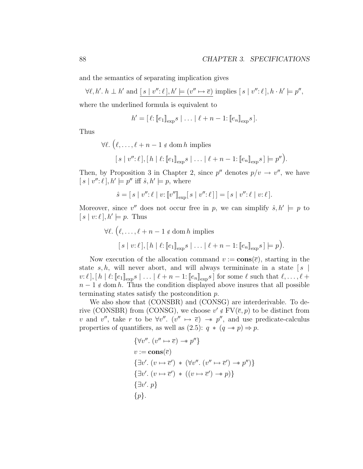and the semantics of separating implication gives

 $\forall \ell, h'. h \perp h' \text{ and } [s \mid v'' : \ell], h' \models (v'' \mapsto \overline{e}) \text{ implies } [s \mid v'' : \ell], h \cdot h' \models p'',$ 

where the underlined formula is equivalent to

$$
h' = [\ell : [e_1]_{\exp} s \mid \ldots \mid \ell + n - 1 : [e_n]_{\exp} s].
$$

Thus

 $\forall \ell. \ (\ell, \ldots, \ell + n - 1 \notin \text{dom } h \text{ implies}$  $[s \mid v'' : \ell], [h \mid \ell : [\![ e_1 ]\!]_{\exp} s \mid \ldots \mid \ell + n - 1 : [\![ e_n ]\!]_{\exp} s] \models p''$ .

Then, by Proposition 3 in Chapter 2, since  $p''$  denotes  $p/v \rightarrow v''$ , we have  $[s | v'' : \ell], h' \models p''$  iff  $\hat{s}, h' \models p$ , where

$$
\hat{s} = [s \mid v''; \ell \mid v; [\![v'']\!]_{\text{exp}}[s \mid v''; \ell\,]] = [s \mid v''; \ell \mid v; \ell].
$$

Moreover, since  $v''$  does not occur free in p, we can simplify  $\hat{s}, h' \models p$  to  $[s | v:\ell], h' \models p$ . Thus

$$
\forall \ell. \left( \ell, \ldots, \ell + n - 1 \notin \text{dom } h \text{ implies } \right]
$$

$$
[s \mid v : \ell], [h \mid \ell : [e_1]_{\text{exp}} s \mid \ldots \mid \ell + n - 1 : [e_n]_{\text{exp}} s] \models p \right).
$$

Now execution of the allocation command  $v := \textbf{cons}(\overline{e})$ , starting in the state s, h, will never abort, and will always termininate in a state  $\lceil s \rceil$  $v: \ell$ ,  $[h \mid \ell: [e_1]_{\text{exp}}s \mid \ldots \mid \ell + n - 1: [e_n]_{\text{exp}}s]$  for some  $\ell$  such that  $\ell, \ldots, \ell +$  $n-1 \notin \text{dom } h$ . Thus the condition displayed above insures that all possible terminating states satisfy the postcondition p.

We also show that (CONSBR) and (CONSG) are interderivable. To derive (CONSBR) from (CONSG), we choose  $v' \notin FV(\overline{e}, p)$  to be distinct from v and v'', take r to be  $\forall v''$ .  $(v'' \mapsto \overline{e}) \rightarrow v''$ , and use predicate-calculus properties of quantifiers, as well as  $(2.5): q * (q \rightarrow p) \Rightarrow p$ .

$$
\{\forall v''. \ (v'' \mapsto \overline{e}) \rightarrow v''\}
$$
  
\n
$$
v := \text{cons}(\overline{e})
$$
  
\n
$$
\{\exists v'. \ (v \mapsto \overline{e}') \ast (\forall v''. \ (v'' \mapsto \overline{e}') \rightarrow v'')\}
$$
  
\n
$$
\{\exists v'. \ (v \mapsto \overline{e}') \ast ((v \mapsto \overline{e}') \rightarrow v)\}
$$
  
\n
$$
\{\exists v'. \ p\}
$$
  
\n
$$
\{p\}.
$$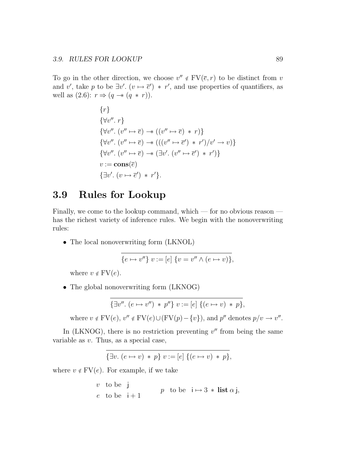To go in the other direction, we choose  $v'' \notin FV(\overline{e}, r)$  to be distinct from v and v', take p to be  $\exists v'$ .  $(v \mapsto \overline{e}') * r'$ , and use properties of quantifiers, as well as  $(2.6)$ :  $r \Rightarrow (q \rightarrow (q * r))$ .

> $\{r\}$  $\{\forall v'', r\}$  $\{\forall v'' \colon (v'' \mapsto \overline{e}) \rightarrow ((v'' \mapsto \overline{e}) * r)\}$  $\{\forall v'' \colon (v'' \mapsto \overline{e}) \to (((v'' \mapsto \overline{e}') * r')/v' \to v)\}$  $\{\forall v'' \colon (v'' \mapsto \overline{e}) \rightarrow (\exists v' \colon (v'' \mapsto \overline{e}') * r')\}$  $v := \mathbf{cons}(\overline{e})$  $\{\exists v'. (v \mapsto \overline{e}') * r'\}.$

#### 3.9 Rules for Lookup

Finally, we come to the lookup command, which — for no obvious reason has the richest variety of inference rules. We begin with the nonoverwriting rules:

• The local nonoverwriting form (LKNOL)

$$
\{e \mapsto v''\} \ v := [e] \ \{v = v'' \wedge (e \mapsto v)\},\
$$

where  $v \notin FV(e)$ .

• The global nonoverwriting form (LKNOG)

$$
\{\exists v''.\ (e \mapsto v'') * p''\} \ v := [e] \ \{(e \mapsto v) * p\},\
$$

where  $v \notin FV(e)$ ,  $v'' \notin FV(e) \cup (FV(p) - \{v\})$ , and  $p''$  denotes  $p/v \to v''$ .

In (LKNOG), there is no restriction preventing  $v''$  from being the same variable as v. Thus, as a special case,

$$
\{\exists v.\ (e \mapsto v) * p\} \ v := [e] \ \{ (e \mapsto v) * p\},\
$$

where  $v \notin FV(e)$ . For example, if we take

 $v$  to be j e to be  $i+1$ p to be  $i \mapsto 3 * \text{list } \alpha$  j,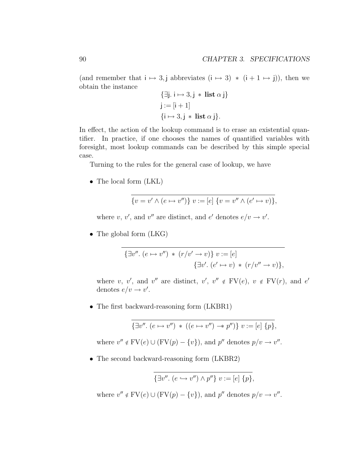(and remember that  $i \mapsto 3$ , j abbreviates  $(i \mapsto 3) * (i + 1 \mapsto j)$ ), then we obtain the instance

$$
\{\exists j. i \mapsto 3, j * list \alpha j\}
$$
  

$$
j := [i + 1]
$$
  

$$
\{i \mapsto 3, j * list \alpha j\}.
$$

In effect, the action of the lookup command is to erase an existential quantifier. In practice, if one chooses the names of quantified variables with foresight, most lookup commands can be described by this simple special case.

Turning to the rules for the general case of lookup, we have

• The local form (LKL)

$$
\{v=v'\wedge (e\mapsto v'')\} \ v:= [e] \ \{v=v''\wedge (e'\mapsto v)\},
$$

where v, v', and v'' are distinct, and e' denotes  $e/v \rightarrow v'$ .

• The global form (LKG)

$$
\{\exists v''.\ (e \mapsto v'') \ * \ (r/v' \rightarrow v)\} \ v := [e]
$$

$$
\{\exists v'.\ (e' \mapsto v) \ * \ (r/v'' \rightarrow v)\},
$$

where v, v', and v'' are distinct, v', v''  $\notin$  FV(e), v  $\notin$  FV(r), and e' denotes  $e/v \rightarrow v'$ .

• The first backward-reasoning form (LKBR1)

$$
\overline{\{\exists v''.\ (e \mapsto v'')\ *((e \mapsto v'') \to p'')\} \ v := [e] \ \overline{\{p\}},\
$$

where  $v'' \notin FV(e) \cup (FV(p) - \{v\})$ , and  $p''$  denotes  $p/v \to v''$ .

• The second backward-reasoning form (LKBR2)

$$
\{\exists v''.\ (e \hookrightarrow v'') \land p''\} \ v := [e] \ \{p\},\
$$

where  $v'' \notin FV(e) \cup (FV(p) - \{v\})$ , and  $p''$  denotes  $p/v \to v''$ .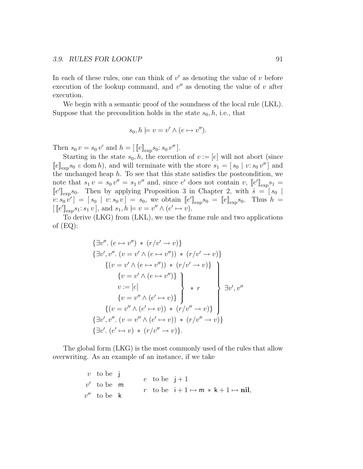In each of these rules, one can think of  $v'$  as denoting the value of  $v$  before execution of the lookup command, and  $v''$  as denoting the value of  $v$  after execution.

We begin with a semantic proof of the soundness of the local rule (LKL). Suppose that the precondition holds in the state  $s_0, h$ , i.e., that

$$
s_0, h \models v = v' \land (e \mapsto v'').
$$

Then  $s_0 v = s_0 v'$  and  $h = [[e]]_{exp} s_0: s_0 v'']$ .

Starting in the state  $s_0, h$ , the execution of  $v := [e]$  will not abort (since  $[$ e $]_{exp}s_0 \in$  dom h, and will terminate with the store  $s_1 = [s_0 | v: s_0 v'']$  and the unchanged heap  $h$ . To see that this state satisfies the postcondition, we note that  $s_1 v = s_0 v'' = s_1 v''$  and, since e' does not contain  $v, [e']_{\exp} s_1 =$  $\llbracket e' \rrbracket_{\exp} s_0$ . Then by applying Proposition 3 in Chapter 2, with  $\hat{s} = \begin{bmatrix} s_0 \end{bmatrix}$  $[v: s_0 v'] = [s_0 | v: s_0 v] = s_0$ , we obtain  $[[e']]_{\exp} s_0 = [[e]]_{\exp} s_0$ . Thus  $h =$  $\left[\llbracket e'\rrbracket_{\exp} s_1: s_1 v\rrbracket, \text{ and } s_1, h \models v = v'' \land (e' \mapsto v).$ 

To derive (LKG) from (LKL), we use the frame rule and two applications of (EQ):

$$
\{\exists v'', (e \mapsto v'') * (r/v' \rightarrow v)\}
$$
  

$$
\{\exists v', v'', (v = v' \land (e \mapsto v'')) * (r/v' \rightarrow v)\}
$$
  

$$
\{(v = v' \land (e \mapsto v'')) * (r/v' \rightarrow v)\}
$$
  

$$
\{v = v' \land (e \mapsto v'')\}
$$
  

$$
v := [e]
$$
  

$$
\{v = v'' \land (e' \mapsto v)\}
$$
  

$$
\{(v = v'' \land (e' \mapsto v)) * (r/v'' \rightarrow v)\}
$$
  

$$
\{\exists v', v'' \colon (v = v'' \land (e' \mapsto v)) * (r/v'' \rightarrow v)\}
$$
  

$$
\{\exists v'. (e' \mapsto v) * (r/v'' \rightarrow v)\}
$$
.

The global form (LKG) is the most commonly used of the rules that allow overwriting. As an example of an instance, if we take

> $v$  to be j  $v'$  to be m  $v''$  to be k e to be  $i+1$ r to be  $i + 1 \mapsto m * k + 1 \mapsto nil$ ,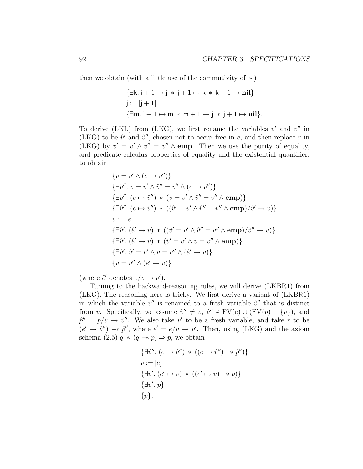then we obtain (with a little use of the commutivity of  $\ast$ )

$$
\{\exists k. i + 1 \mapsto j * j + 1 \mapsto k * k + 1 \mapsto nil\}
$$
  

$$
j := [j + 1]
$$
  

$$
\{\exists m. i + 1 \mapsto m * m + 1 \mapsto j * j + 1 \mapsto nil\}.
$$

To derive (LKL) from (LKG), we first rename the variables  $v'$  and  $v''$  in (LKG) to be  $\hat{v}'$  and  $\hat{v}''$ , chosen not to occur free in e, and then replace r in (LKG) by  $\hat{v}' = v' \wedge \hat{v}'' = v'' \wedge \text{emp.}$  Then we use the purity of equality, and predicate-calculus properties of equality and the existential quantifier, to obtain

$$
\{v = v' \land (e \mapsto v'')\}
$$
  
\n
$$
\{\exists \hat{v}''. v = v' \land \hat{v}'' = v'' \land (e \mapsto \hat{v}'')\}
$$
  
\n
$$
\{\exists \hat{v}''. (e \mapsto \hat{v}'') * (v = v' \land \hat{v}'' = v'' \land \text{emp})\}
$$
  
\n
$$
\{\exists \hat{v}''. (e \mapsto \hat{v}'') * ((\hat{v}' = v' \land \hat{v}'' = v'' \land \text{emp})/\hat{v}' \rightarrow v)\}
$$
  
\n
$$
v := [e]
$$
  
\n
$$
\{\exists \hat{v}'. (\hat{e}' \mapsto v) * ((\hat{v}' = v' \land \hat{v}'' = v'' \land \text{emp})/\hat{v}'' \rightarrow v)\}
$$
  
\n
$$
\{\exists \hat{v}'. (\hat{e}' \mapsto v) * (\hat{v}' = v' \land v = v'' \land \text{emp})\}
$$
  
\n
$$
\{\exists \hat{v}'. \hat{v}' = v' \land v = v'' \land (\hat{e}' \mapsto v)\}
$$
  
\n
$$
\{v = v'' \land (e' \mapsto v)\}
$$

(where  $\hat{e}'$  denotes  $e/v \rightarrow \hat{v}'$ ).

Turning to the backward-reasoning rules, we will derive (LKBR1) from (LKG). The reasoning here is tricky. We first derive a variant of (LKBR1) in which the variable  $v''$  is renamed to a fresh variable  $\hat{v}''$  that is distinct from v. Specifically, we assume  $\hat{v}'' \neq v$ ,  $\hat{v}'' \notin FV(e) \cup (FV(p) - \{v\})$ , and  $\hat{p}'' = p/v \rightarrow \hat{v}''$ . We also take v' to be a fresh variable, and take r to be  $(e' \mapsto \hat{v}'') \rightarrow \hat{p}''$ , where  $e' = e/v \rightarrow v'$ . Then, using (LKG) and the axiom schema (2.5)  $q * (q \rightarrow p) \Rightarrow p$ , we obtain

$$
\{\exists \hat{v}''.\ (e \mapsto \hat{v}'') \, * \, ((e \mapsto \hat{v}'') \rightarrow \hat{p}'')\}
$$
  

$$
v := [e]
$$
  

$$
\{\exists v'.\ (e' \mapsto v) \, * \, ((e' \mapsto v) \rightarrow p)\}
$$
  

$$
\{\exists v'.\ p\}
$$
  

$$
\{p\},
$$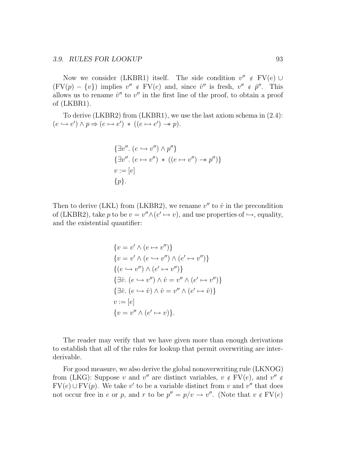Now we consider (LKBR1) itself. The side condition  $v'' \notin FV(e) \cup$  $(FV(p) - \{v\})$  implies  $v'' \notin FV(e)$  and, since  $\hat{v}''$  is fresh,  $v'' \notin \hat{p}''$ . This allows us to rename  $\hat{v}''$  to  $v''$  in the first line of the proof, to obtain a proof of (LKBR1).

To derive (LKBR2) from (LKBR1), we use the last axiom schema in (2.4):  $(e \hookrightarrow e') \land p \Rightarrow (e \mapsto e') \ast ((e \mapsto e') \rightarrow p).$ 

$$
\{\exists v''.\ (e \hookrightarrow v'') \land p''\}
$$
  

$$
\{\exists v''.\ (e \mapsto v'') \ * \ ((e \mapsto v'') \twoheadrightarrow p'')\}
$$
  

$$
v := [e]
$$
  

$$
\{p\}.
$$

Then to derive (LKL) from (LKBR2), we rename  $v''$  to  $\hat{v}$  in the precondition of (LKBR2), take p to be  $v = v'' \wedge (e' \mapsto v)$ , and use properties of  $\hookrightarrow$ , equality, and the existential quantifier:

$$
\{v = v' \land (e \mapsto v'')\}
$$
  
\n
$$
\{v = v' \land (e \hookrightarrow v'') \land (e' \mapsto v'')\}
$$
  
\n
$$
\{(e \hookrightarrow v'') \land (e' \mapsto v'')\}
$$
  
\n
$$
\{\exists \hat{v}. (e \hookrightarrow v'') \land \hat{v} = v'' \land (e' \mapsto v'')\}
$$
  
\n
$$
\{\exists \hat{v}. (e \hookrightarrow \hat{v}) \land \hat{v} = v'' \land (e' \mapsto \hat{v})\}
$$
  
\n
$$
v := [e]
$$
  
\n
$$
\{v = v'' \land (e' \mapsto v)\}.
$$

The reader may verify that we have given more than enough derivations to establish that all of the rules for lookup that permit overwriting are interderivable.

For good measure, we also derive the global nonoverwriting rule (LKNOG) from (LKG): Suppose v and v'' are distinct variables,  $v \notin FV(e)$ , and  $v'' \notin$  $FV(e) \cup FV(p)$ . We take v' to be a variable distinct from v and v'' that does not occur free in e or p, and r to be  $p'' = p/v \rightarrow v''$ . (Note that  $v \notin FV(e)$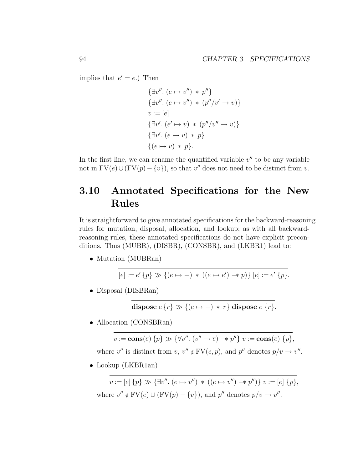implies that  $e' = e$ .) Then

$$
\{\exists v''.\ (e \mapsto v'') * p''\}
$$
  

$$
\{\exists v''.\ (e \mapsto v'') * (p''/v' \rightarrow v)\}
$$
  

$$
v := [e]
$$
  

$$
\{\exists v'.\ (e' \mapsto v) * (p''/v'' \rightarrow v)\}
$$
  

$$
\{\exists v'.\ (e \mapsto v) * p\}
$$
  

$$
\{(e \mapsto v) * p\}.
$$

In the first line, we can rename the quantified variable  $v''$  to be any variable not in  $\text{FV}(e) \cup (\text{FV}(p) - \{v\})$ , so that v'' does not need to be distinct from v.

## 3.10 Annotated Specifications for the New Rules

It is straightforward to give annotated specifications for the backward-reasoning rules for mutation, disposal, allocation, and lookup; as with all backwardreasoning rules, these annotated specifications do not have explicit preconditions. Thus (MUBR), (DISBR), (CONSBR), and (LKBR1) lead to:

• Mutation (MUBRan)

$$
[e] := e' \{ p \} \gg \{ (e \mapsto -) * ((e \mapsto e') \rightarrow p) \} [e] := e' \{ p \}.
$$

• Disposal (DISBRan)

**dispose** 
$$
e\{r\} \gg \{(e \mapsto -) * r\}
$$
 **dispose**  $e\{r\}.$ 

• Allocation (CONSBRan)

$$
v := \mathbf{cons}(\overline{e}) \{p\} \gg \{ \forall v''. \ (v'' \mapsto \overline{e}) \to p'' \} \ v := \mathbf{cons}(\overline{e}) \{p\},\
$$

where v'' is distinct from  $v, v'' \notin FV(\overline{e}, p)$ , and  $p''$  denotes  $p/v \to v''$ .

• Lookup (LKBR1an)

 $v := [e] \{p\} \gg {\exists v'' \cdot (e \mapsto v'') \ast ((e \mapsto v'') \rightarrow v'') } \ v := [e] \{p\},\$ where  $v'' \notin FV(e) \cup (FV(p) - \{v\})$ , and  $p''$  denotes  $p/v \to v''$ .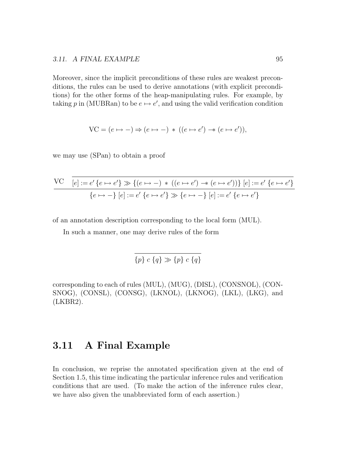Moreover, since the implicit preconditions of these rules are weakest preconditions, the rules can be used to derive annotations (with explicit preconditions) for the other forms of the heap-manipulating rules. For example, by taking p in (MUBRan) to be  $e \mapsto e'$ , and using the valid verification condition

$$
VC = (e \mapsto -) \Rightarrow (e \mapsto -) * ((e \mapsto e') \rightarrow (e \mapsto e')),
$$

we may use (SPan) to obtain a proof

$$
\frac{\text{VC} \quad [e] := e' \{e \mapsto e'\} \gg \{ (e \mapsto -) \ * \ ((e \mapsto e') \to (e \mapsto e')) \} \ [e] := e' \{ e \mapsto e' \} }{\{e \mapsto -\} \ [e] := e' \{ e \mapsto e' \} \gg \{ e \mapsto - \} \ [e] := e' \{ e \mapsto e' \} }
$$

of an annotation description corresponding to the local form (MUL).

In such a manner, one may derive rules of the form

$$
\{p\} \ c \ \{q\} \gg \{p\} \ c \ \{q\}
$$

corresponding to each of rules (MUL), (MUG), (DISL), (CONSNOL), (CON-SNOG), (CONSL), (CONSG), (LKNOL), (LKNOG), (LKL), (LKG), and (LKBR2).

### 3.11 A Final Example

In conclusion, we reprise the annotated specification given at the end of Section 1.5, this time indicating the particular inference rules and verification conditions that are used. (To make the action of the inference rules clear, we have also given the unabbreviated form of each assertion.)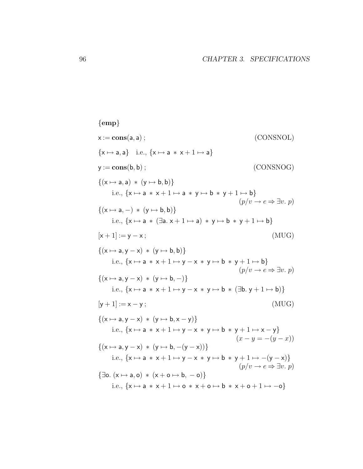${emp}$  $x := \text{cons}(a, a)$ ; (CONSNOL)  $\{x \mapsto a, a\}$  i.e.,  $\{x \mapsto a * x + 1 \mapsto a\}$  $y := \mathbf{cons}(b, b)$ ; (CONSNOG)  $\{(x \mapsto a, a) * (y \mapsto b, b)\}$ i.e.,  $\{x \mapsto a * x + 1 \mapsto a * y \mapsto b * y + 1 \mapsto b\}$  $(p/v \rightarrow e \Rightarrow \exists v.\ p)$  $\{(x \mapsto a, -) * (y \mapsto b, b)\}$ i.e.,  $\{x \mapsto a * (\exists a. x + 1 \mapsto a) * y \mapsto b * y + 1 \mapsto b\}$  $[x + 1] := y - x;$  (MUG)  $\{(x \mapsto a, y - x) * (y \mapsto b, b)\}$ i.e.,  $\{x \mapsto a * x + 1 \mapsto y - x * y \mapsto b * y + 1 \mapsto b\}$  $(p/v \rightarrow e \Rightarrow \exists v.\ p)$  $\{(x \mapsto a, y - x) * (y \mapsto b, -)\}$ i.e.,  $\{x \mapsto a * x + 1 \mapsto y - x * y \mapsto b * (\exists b. y + 1 \mapsto b)\}$  $[y + 1] := x - y;$  (MUG)  $\{(x \mapsto a, y - x) * (y \mapsto b, x - y)\}$ i.e.,  $\{x \mapsto a \times x + 1 \mapsto y - x \times y \mapsto b \times y + 1 \mapsto x - y\}$  $(x - y = -(y - x))$  $\{(x \mapsto a, y - x) * (y \mapsto b, -(y - x))\}$ i.e.,  $\{x \mapsto a * x + 1 \mapsto y - x * y \mapsto b * y + 1 \mapsto -(y - x)\}$  $(p/v \rightarrow e \Rightarrow \exists v.\ p)$  $\{\exists$ o.  $(x \mapsto a, o) * (x + o \mapsto b, -o)\}$ i.e.,  $\{x \mapsto a * x + 1 \mapsto o * x + o \mapsto b * x + o + 1 \mapsto o\}$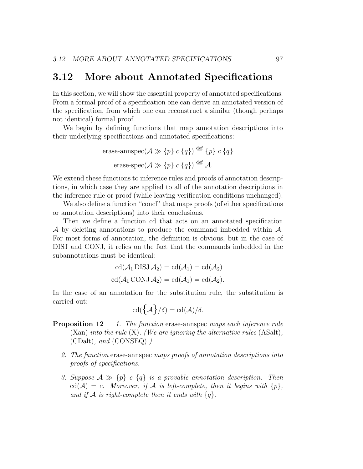#### 3.12 More about Annotated Specifications

In this section, we will show the essential property of annotated specifications: From a formal proof of a specification one can derive an annotated version of the specification, from which one can reconstruct a similar (though perhaps not identical) formal proof.

We begin by defining functions that map annotation descriptions into their underlying specifications and annotated specifications:

$$
\begin{aligned}\n\text{erase-annspec}(\mathcal{A} \gg \{p\} \ c \ \{q\}) &\stackrel{\text{def}}{=} \{p\} \ c \ \{q\} \\
\text{erase-spec}(\mathcal{A} \gg \{p\} \ c \ \{q\}) &\stackrel{\text{def}}{=} \mathcal{A}.\n\end{aligned}
$$

We extend these functions to inference rules and proofs of annotation descriptions, in which case they are applied to all of the annotation descriptions in the inference rule or proof (while leaving verification conditions unchanged).

We also define a function "concl" that maps proofs (of either specifications or annotation descriptions) into their conclusions.

Then we define a function cd that acts on an annotated specification A by deleting annotations to produce the command imbedded within A. For most forms of annotation, the definition is obvious, but in the case of DISJ and CONJ, it relies on the fact that the commands imbedded in the subannotations must be identical:

$$
cd(\mathcal{A}_1 DISJ \mathcal{A}_2) = cd(\mathcal{A}_1) = cd(\mathcal{A}_2)
$$
  

$$
cd(\mathcal{A}_1 CONJ \mathcal{A}_2) = cd(\mathcal{A}_1) = cd(\mathcal{A}_2).
$$

In the case of an annotation for the substitution rule, the substitution is carried out:

$$
\operatorname{cd}(\left\{\mathcal{A}\right\}/\delta)=\operatorname{cd}(\mathcal{A})/\delta.
$$

- **Proposition 12** 1. The function erase-annispec maps each inference rule  $(Xan)$  into the rule  $(X)$ . (We are ignoring the alternative rules  $(ASalt)$ ,  $(CDalt)$ , and  $(CONSEQ)$ .
	- 2. The function erase-annspec maps proofs of annotation descriptions into proofs of specifications.
	- 3. Suppose  $A \gg \{p\}$  c  $\{q\}$  is a provable annotation description. Then  $cd(\mathcal{A}) = c$ . Moreover, if  $\mathcal A$  is left-complete, then it begins with  $\{p\},\$ and if A is right-complete then it ends with  $\{q\}$ .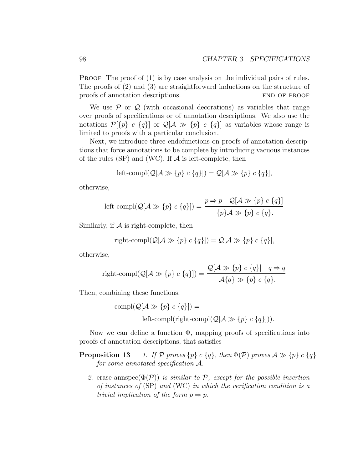PROOF The proof of (1) is by case analysis on the individual pairs of rules. The proofs of (2) and (3) are straightforward inductions on the structure of proofs of annotation descriptions. END OF PROOF

We use  $P$  or  $Q$  (with occasional decorations) as variables that range over proofs of specifications or of annotation descriptions. We also use the notations  $\mathcal{P}[\{p\} \ c \ \{q\}]$  or  $\mathcal{Q}[\mathcal{A} \gg \{p\} \ c \ \{q\}]$  as variables whose range is limited to proofs with a particular conclusion.

Next, we introduce three endofunctions on proofs of annotation descriptions that force annotations to be complete by introducing vacuous instances of the rules (SP) and (WC). If  $A$  is left-complete, then

left-compl(
$$
Q[A \gg \{p\} \ c \{q\}]
$$
) =  $Q[A \gg \{p\} \ c \{q\}],$ 

otherwise,

left-compl(
$$
Q[A \gg \{p\} \ c \{q\}]
$$
) =  $\frac{p \Rightarrow p \quad Q[A \gg \{p\} \ c \{q\}]}{\{p\}A \gg \{p\} \ c \{q\}.$ 

Similarly, if  $A$  is right-complete, then

right-compl(
$$
Q[A \gg \{p\} c \{q\}]
$$
) =  $Q[A \gg \{p\} c \{q\}]$ ,

otherwise,

$$
\text{right-compl}(\mathcal{Q}[\mathcal{A}\gg\{p\} \ c\ \{q\}]) = \frac{\mathcal{Q}[\mathcal{A}\gg\{p\} \ c\ \{q\}]}{\mathcal{A}\{q\}\gg\{p\} \ c\ \{q\} }.
$$

Then, combining these functions,

$$
compl(Q[A \gg \{p\} \ c \ \{q\}]) =
$$
  
left-compl(right-compl(Q[A \gg \{p\} \ c \ \{q\}])).

Now we can define a function  $\Phi$ , mapping proofs of specifications into proofs of annotation descriptions, that satisfies

- **Proposition 13** 1. If P proves  $\{p\}$  c  $\{q\}$ , then  $\Phi(\mathcal{P})$  proves  $\mathcal{A} \gg \{p\}$  c  $\{q\}$ for some annotated specification A.
	- 2. erase-annspec $(\Phi(\mathcal{P}))$  is similar to  $\mathcal{P}$ , except for the possible insertion of instances of (SP) and (WC) in which the verification condition is a trivial implication of the form  $p \Rightarrow p$ .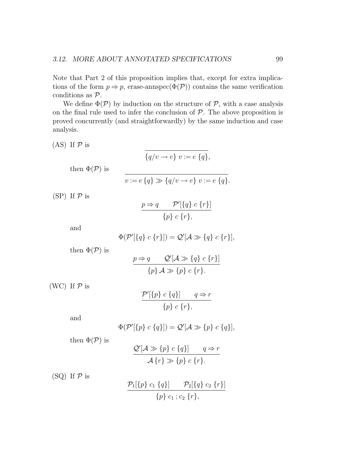Note that Part 2 of this proposition implies that, except for extra implications of the form  $p \Rightarrow p$ , erase-annspec( $\Phi(\mathcal{P})$ ) contains the same verification conditions as P.

We define  $\Phi(\mathcal{P})$  by induction on the structure of  $\mathcal{P}$ , with a case analysis on the final rule used to infer the conclusion of  $P$ . The above proposition is proved concurrently (and straightforwardly) by the same induction and case analysis.

(AS) If  $P$  is  $\overline{\{q/v \rightarrow e\} \ v := e \ \{q\}},$ then  $\Phi(\mathcal{P})$  is

$$
v := e \{q\} \gg \{q/v \to e\} \ v := e \{q\}.
$$

 $(SP)$  If  $P$  is

$$
\frac{p \Rightarrow q \qquad \mathcal{P}'[\{q\} \ c \{r\}]}{\{p\} \ c \{r\},\}
$$

and

$$
\Phi(\mathcal{P}'[\{q\} \ c \{r\}]) = \mathcal{Q}'[\mathcal{A} \gg \{q\} \ c \{r\}],
$$

then  $\Phi(\mathcal{P})$  is

$$
\frac{p \Rightarrow q \qquad \mathcal{Q}'[\mathcal{A} \gg \{q\} \ c \ \{r\}]}{\{p\} \ \mathcal{A} \gg \{p\} \ c \ \{r\}.
$$

(WC) If  $P$  is

$$
\frac{\mathcal{P}'[\{p\} \ c \{q\}]}{\{p\} \ c \{r\},}
$$

and

$$
\Phi(\mathcal{P}'[\{p\} \ c \ {q\}]) = \mathcal{Q}'[\mathcal{A} \gg \{p\} \ c \ {q\}],
$$

then  $\Phi(\mathcal{P})$  is

$$
\frac{Q'[A \gg \{p\} \ c \ \{q\}]}{A\{r\} \gg \{p\} \ c \ \{r\}.
$$

(SQ) If  $P$  is

$$
\frac{\mathcal{P}_1[\{p\} \ c_1 \ \{q\}]}{\{p\} \ c_1 \ ; \ c_2 \ \{r\},}
$$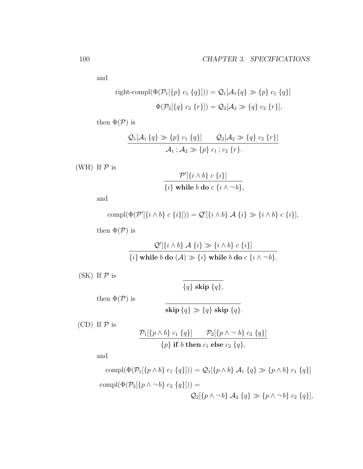and

right-compl(
$$
\Phi(\mathcal{P}_1[\{p\} c_1 \{q\}])) = \mathcal{Q}_1[\mathcal{A}_1\{q\} \gg \{p\} c_1 \{q\}]
$$
  
\n
$$
\Phi(\mathcal{P}_2[\{q\} c_2 \{r\}]) = \mathcal{Q}_2[\mathcal{A}_2 \gg \{q\} c_2 \{r\}],
$$

then  $\Phi(\mathcal{P})$  is

$$
\frac{Q_1[A_1 \{q\} \gg \{p\} \ c_1 \{q\}]}{A_1 \ ; A_2 \gg \{p\} \ c_1 \ ; c_2 \ \{r\} } \frac{Q_2[A_2 \gg \{q\} \ c_2 \ \{r\}]}{A_1 \ ; A_2 \gg \{p\} \ c_1 \ ; c_2 \ \{r\} }.
$$

(WH) If  $P$  is

$$
\frac{\mathcal{P}'[\{i \wedge b\} \ c \ \{i\}]}{\{i\} \ \text{while } b \ \text{do } c \ \{i \wedge \neg b\},\}
$$

and

$$
\text{compl}(\Phi(\mathcal{P}'[\{i \wedge b\} \ c \ \{i\}])) = \mathcal{Q}'[\{i \wedge b\} \ \mathcal{A} \ \{i\} \gg \{i \wedge b\} \ c \ \{i\}],
$$

then  $\Phi(\mathcal{P})$  is

$$
\frac{\mathcal{Q}'[\{i \wedge b\} \mathcal{A} \{i\} \gg \{i \wedge b\} \ c \{i\}]}{\{i\} \text{ while } b \text{ do } (\mathcal{A}) \gg \{i\} \text{ while } b \text{ do } c \{i \wedge \neg b\}.
$$

(SK) If  $P$  is

 $\overline{\{q\}$  skip  $\overline{\{q\}},$ 

then  $\Phi(\mathcal{P})$  is

$$
\textbf{skip} \, \{q\} \gg \{q\} \textbf{ skip } \{q\}.
$$

(CD) If  $P$  is

$$
\frac{\mathcal{P}_1[\{p \wedge b\} \ c_1 \ \{q\}]}{\{p\} \text{ if } b \text{ then } c_1 \text{ else } c_2 \ \{q\},}
$$

and

compl
$$
(\Phi(\mathcal{P}_1[\{p \land b\} \ c_1 \{q\}])) = \mathcal{Q}_1[\{p \land b\} \ \mathcal{A}_1 \{q\} \gg \{p \land b\} \ c_1 \{q\}]
$$
  
compl $(\Phi(\mathcal{P}_2[\{p \land \neg b\} \ c_2 \{q\}])) =$   
 $\mathcal{Q}_2[\{p \land \neg b\} \ \mathcal{A}_2 \{q\} \gg \{p \land \neg b\} \ c_2 \{q\}],$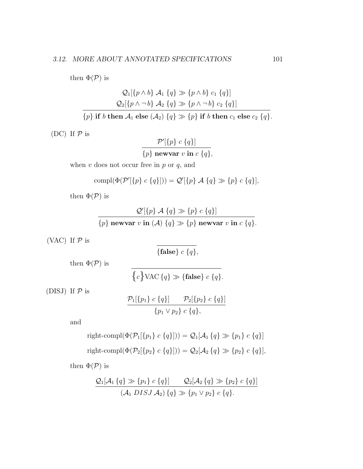then  $\Phi(\mathcal{P})$  is

$$
Q_1\{\{p \wedge b\} \mathcal{A}_1 \{q\} \gg \{p \wedge b\} \ c_1 \{q\}\}\
$$

$$
Q_2\{\{p \wedge \neg b\} \mathcal{A}_2 \{q\} \gg \{p \wedge \neg b\} \ c_2 \{q\}\}
$$

$$
\overline{\{p\} \text{ if } b \text{ then } \mathcal{A}_1 \text{ else } (\mathcal{A}_2) \{q\} \gg \{p\} \text{ if } b \text{ then } c_1 \text{ else } c_2 \{q\}}.
$$

(DC) If  $P$  is

$$
\frac{\mathcal{P}'[\{p\} \ c \{q\}]}{\{p\} \ \text{newvar } v \ \text{in} \ c \ \{q\},\}
$$

when  $v$  does not occur free in  $p$  or  $q$ , and

$$
\text{compl}(\Phi(\mathcal{P}'[\{p\} \ c \ \{q\}])) = \mathcal{Q}'[\{p\} \ \mathcal{A} \ \{q\} \gg \{p\} \ c \ \{q\}],
$$

then  $\Phi(\mathcal{P})$  is

$$
\frac{\mathcal{Q}'[\{p\} \mathcal{A} \{q\} \gg \{p\} \ c \{q\}]}{\{p\} \ \text{newvar } v \text{ in } (\mathcal{A}) \{q\} \gg \{p\} \ \text{newvar } v \text{ in } c \{q\}.
$$

(VAC) If  $P$  is

 ${false} c {q},$ 

then  $\Phi(\mathcal{P})$  is

$$
\{c\} \text{VAC} \{q\} \gg \{\text{false}\} \ c \{q\}.
$$

(DISJ) If  $P$  is

$$
\frac{\mathcal{P}_1[\{p_1\} \ c \{q\}]}{\{p_1 \vee p_2\} \ c \{q\},}
$$

and

right-compl
$$
(\Phi(\mathcal{P}_1[\{p_1\} c \{q\}])) = \mathcal{Q}_1[\mathcal{A}_1 \{q\} \gg \{p_1\} c \{q\}]
$$
  
right-compl $(\Phi(\mathcal{P}_2[\{p_2\} c \{q\}])) = \mathcal{Q}_2[\mathcal{A}_2 \{q\} \gg \{p_2\} c \{q\}],$ 

then  $\Phi(\mathcal{P})$  is

$$
\frac{Q_1[A_1 \{q\} \gg \{p_1\} \ c \{q\}]}{(A_1 \ DISJ A_2) \{q\} \gg \{p_1 \lor p_2\} \ c \{q\}}(P_1 \lor P_2) \ c \{q\}.
$$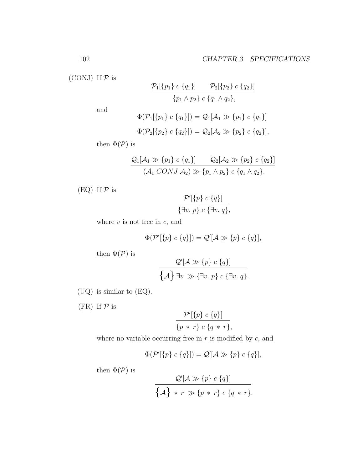(CONJ) If  $P$  is

$$
\frac{\mathcal{P}_1[\{p_1\} \ c \{q_1\}]}{\{p_1 \land p_2\} \ c \{q_1 \land q_2\}},
$$

and

$$
\Phi(\mathcal{P}_1[\{p_1\} \ c \{q_1\}]) = \mathcal{Q}_1[\mathcal{A}_1 \gg \{p_1\} \ c \{q_1\}]
$$
  

$$
\Phi(\mathcal{P}_2[\{p_2\} \ c \{q_2\}]) = \mathcal{Q}_2[\mathcal{A}_2 \gg \{p_2\} \ c \{q_2\}],
$$

then  $\Phi(\mathcal{P})$  is

$$
\frac{Q_1[\mathcal{A}_1 \gg \{p_1\} \ c \{q_1\}]}{(\mathcal{A}_1 \ CONJ \ \mathcal{A}_2) \gg \{p_1 \land p_2\} \ c \{q_1 \land q_2\} }.
$$

(EQ) If  $P$  is

$$
\frac{\mathcal{P}'[\{p\} \ c \ \{q\}]}{\{\exists v.\ p\} \ c \ {\exists v.\ q\}},
$$

where  $v$  is not free in  $c$ , and

$$
\Phi(\mathcal{P}'[\{p\} \ c \ \{q\}]) = \mathcal{Q}'[\mathcal{A} \gg \{p\} \ c \ \{q\}],
$$

then  $\Phi(\mathcal{P})$  is

$$
\frac{\mathcal{Q}'[\mathcal{A}\gg\{p\} \ c \ \{q\}]}{\{\mathcal{A}\} \ \exists v \ \gg \{\exists v.\ p\} \ c \ \{\exists v.\ q\}}.
$$

- (UQ) is similar to (EQ).
- (FR) If  $P$  is

$$
\frac{\mathcal{P}'[\{p\} \ c \{q\}]}{\{p \ * \ r\} \ c \ \{q \ * \ r\},\}
$$

where no variable occurring free in  $r$  is modified by  $c$ , and

$$
\Phi(\mathcal{P}'[\{p\} \ c \ {q\}]) = \mathcal{Q}'[\mathcal{A} \gg \{p\} \ c \ {q\}],
$$

then  $\Phi(\mathcal{P})$  is

$$
\frac{\mathcal{Q}'[\mathcal{A}\gg\{p\} \ c \ \{q\}]}{\{\mathcal{A}\} \ * \ r \gg\{p \ * \ r\} \ c \ \{q \ * \ r\}.
$$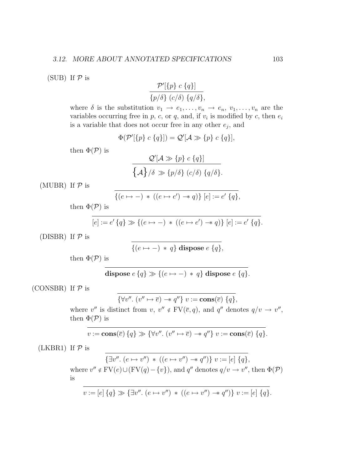(SUB) If  $P$  is

$$
\frac{\mathcal{P}'[\{p\} \ c \{q\}]}{\{p/\delta\} \ (c/\delta) \ \{q/\delta\},\}
$$

where  $\delta$  is the substitution  $v_1 \to e_1, \ldots, v_n \to e_n, v_1, \ldots, v_n$  are the variables occurring free in  $p$ ,  $c$ , or  $q$ , and, if  $v_i$  is modified by  $c$ , then  $e_i$ is a variable that does not occur free in any other  $e_j$ , and

$$
\Phi(\mathcal{P}'[\{p\} \ c \ \{q\}]) = \mathcal{Q}'[\mathcal{A} \gg \{p\} \ c \ \{q\}],
$$

then  $\Phi(\mathcal{P})$  is

$$
\frac{\mathcal{Q}'[\mathcal{A}\gg\{p\} \ c \ \{q\}]}{\{\mathcal{A}\}/\delta \gg \{p/\delta\} \ (c/\delta) \ \{q/\delta\}}.
$$

(MUBR) If  $P$  is

$$
\{(e \mapsto -) * ((e \mapsto e') \twoheadrightarrow q)\} [e] := e' \{q\},
$$

then  $\Phi(\mathcal{P})$  is

$$
[e] := e' \{q\} \gg \{ (e \mapsto -) * ((e \mapsto e') \twoheadrightarrow q) \} [e] := e' \{q\}.
$$

(DISBR) If  $P$  is

$$
\{(e \mapsto -) * q\} \text{ dispose } e \{q\},
$$

then  $\Phi(\mathcal{P})$  is

**dispose** 
$$
e
$$
 { $q$ }  $\gg$  { $(e \mapsto -)$  \*  $q$ } **dispose**  $e$  { $q$ }.

(CONSBR) If  $P$  is

$$
\{\forall v''.\ (v'' \mapsto \overline{e}) \rightarrow q''\} \ v := \operatorname{cons}(\overline{e}) \ \{q\},
$$

where v'' is distinct from  $v, v'' \notin FV(\overline{e}, q)$ , and  $q''$  denotes  $q/v \to v''$ , then  $\Phi(\mathcal{P})$  is

$$
v := \mathbf{cons}(\overline{e}) \{q\} \gg \{\forall v''. \ (v'' \mapsto \overline{e}) \rightarrow q''\} \ v := \mathbf{cons}(\overline{e}) \{q\}.
$$

(LKBR1) If  $P$  is

 $\{\exists v''. (e \mapsto v'') * ((e \mapsto v'') \rightarrow q'')\} v := [e] \{q\},\$ where  $v'' \notin FV(e) \cup (FV(q) - \{v\})$ , and q'' denotes  $q/v \to v''$ , then  $\Phi(\mathcal{P})$ 

is

$$
v := [e] \{q\} \gg \{\exists v''.\ (e \mapsto v'') \, * \, ((e \mapsto v'') \to q'')\} \, v := [e] \{q\}.
$$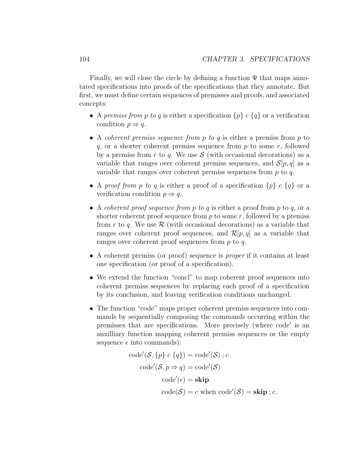Finally, we will close the circle by defining a function  $\Psi$  that maps annotated specifications into proofs of the specifications that they annotate. But first, we must define certain sequences of premisses and proofs, and associated concepts:

- A premiss from p to q is either a specification  $\{p\}$  c  $\{q\}$  or a verification condition  $p \Rightarrow q$ .
- A coherent premiss sequence from p to q is either a premiss from p to q, or a shorter coherent premiss sequence from  $p$  to some  $r$ , followed by a premiss from r to q. We use  $S$  (with occasional decorations) as a variable that ranges over coherent premiss sequences, and  $\mathcal{S}[p,q]$  as a variable that ranges over coherent premiss sequences from  $p$  to  $q$ .
- A proof from p to q is either a proof of a specification  $\{p\}$  c  $\{q\}$  or a verification condition  $p \Rightarrow q$ .
- A coherent proof sequence from p to q is either a proof from p to q, or a shorter coherent proof sequence from  $p$  to some  $r$ , followed by a premiss from r to q. We use  $\mathcal R$  (with occasional decorations) as a variable that ranges over coherent proof sequences, and  $\mathcal{R}[p,q]$  as a variable that ranges over coherent proof sequences from  $p$  to  $q$ .
- A coherent premiss (or proof) sequence is *proper* if it contains at least one specification (or proof of a specification).
- We extend the function "concl" to map coherent proof sequences into coherent premiss sequences by replacing each proof of a specification by its conclusion, and leaving verification conditions unchanged.
- The function "code" maps proper coherent premiss sequences into commands by sequentially composing the commands occurring within the premisses that are specifications. More precisely (where code' is an auxilliary function mapping coherent premiss sequences or the empty sequence  $\epsilon$  into commands):

$$
code'(\mathcal{S}, \{p\} \ c \ \{q\}) = code'(\mathcal{S}) \ ; c
$$

$$
code'(\mathcal{S}, p \Rightarrow q) = code'(\mathcal{S})
$$

$$
code'(\epsilon) = \mathbf{skip}
$$

$$
code(\mathcal{S}) = c \text{ when code}'(\mathcal{S}) = \mathbf{skip}; c.
$$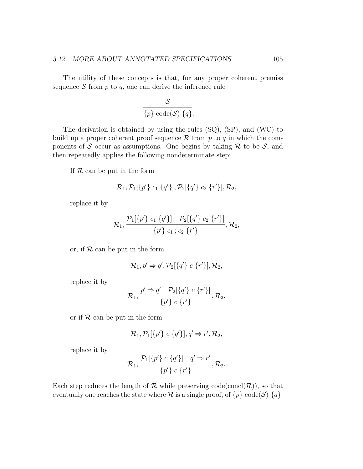The utility of these concepts is that, for any proper coherent premiss sequence  $S$  from  $p$  to  $q$ , one can derive the inference rule

$$
\frac{\mathcal{S}}{\{p\}\operatorname{code}(\mathcal{S})\{q\}}.
$$

The derivation is obtained by using the rules (SQ), (SP), and (WC) to build up a proper coherent proof sequence  $\mathcal R$  from p to q in which the components of S occur as assumptions. One begins by taking  $\mathcal R$  to be S, and then repeatedly applies the following nondeterminate step:

If  $R$  can be put in the form

$$
\mathcal{R}_1, \mathcal{P}_1[\{p'\} \ c_1 \ \{q'\}], \mathcal{P}_2[\{q'\} \ c_2 \ \{r'\}], \mathcal{R}_2,
$$

replace it by

$$
\mathcal{R}_1, \frac{\mathcal{P}_1[\{p'\} \ c_1 \ \{q'\}] \quad \mathcal{P}_2[\{q'\} \ c_2 \ \{r'\}]}{\{p'\} \ c_1 \ ; c_2 \ \{r'\}}, \mathcal{R}_2,
$$

or, if  $R$  can be put in the form

$$
\mathcal{R}_1, p' \Rightarrow q', \mathcal{P}_2[\{q'\} \ c \ \{r'\}], \mathcal{R}_2,
$$

replace it by

$$
\mathcal{R}_1, \frac{p' \Rightarrow q' \quad \mathcal{P}_2[\{q'\} \ c \{r'\}]}{\{p'\} \ c \{r'\}}, \mathcal{R}_2,
$$

or if  $R$  can be put in the form

$$
\mathcal{R}_1, \mathcal{P}_1[\{p'\} \ c \ {q'}\}], q' \Rightarrow r', \mathcal{R}_2,
$$

replace it by

$$
\mathcal{R}_1, \frac{\mathcal{P}_1[\{p'\} \ c \{q'\}]}{\{p'\} \ c \{r'\}} \cdot \mathcal{R}_2.
$$

Each step reduces the length of  $R$  while preserving code(concl( $R$ )), so that eventually one reaches the state where  $\mathcal R$  is a single proof, of  $\{p\}$  code(S)  $\{q\}$ .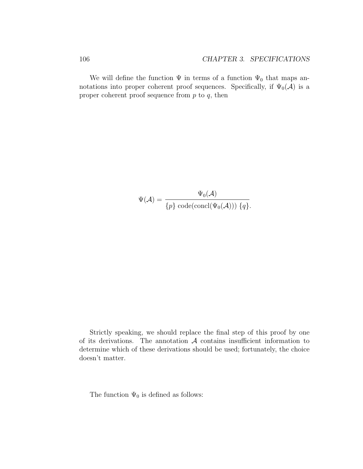We will define the function  $\Psi$  in terms of a function  $\Psi_0$  that maps annotations into proper coherent proof sequences. Specifically, if  $\Psi_0(\mathcal{A})$  is a proper coherent proof sequence from  $p$  to  $q$ , then

$$
\Psi(\mathcal{A}) = \frac{\Psi_0(\mathcal{A})}{\{p\} \text{ code}(\text{concl}(\Psi_0(\mathcal{A}))) \{q\}}.
$$

Strictly speaking, we should replace the final step of this proof by one of its derivations. The annotation  $A$  contains insufficient information to determine which of these derivations should be used; fortunately, the choice doesn't matter.

The function  $\Psi_0$  is defined as follows: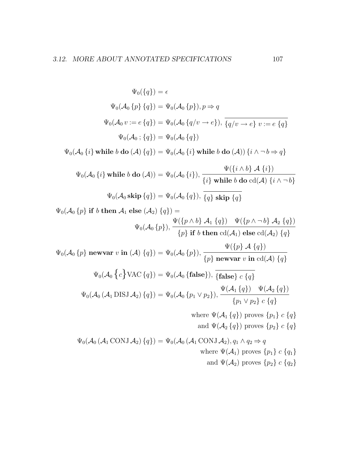$\Psi_0({q}) = \epsilon$  $\Psi_0(\mathcal{A}_0 \{p\} \{q\}) = \Psi_0(\mathcal{A}_0 \{p\}), p \Rightarrow q$  $\Psi_0(\mathcal{A}_0 v := e \{q\}) = \Psi_0(\mathcal{A}_0 \{q/v \to e\}), \overline{\{q/v \to e\} \ v := e \{q\}}$  $\Psi_0(\mathcal{A}_0;\{q\}) = \Psi_0(\mathcal{A}_0\{q\})$  $\Psi_0(\mathcal{A}_0\{i\})$  while b do  $(\mathcal{A})\{q\}) = \Psi_0(\mathcal{A}_0\{i\})$  while b do  $(\mathcal{A})\{i \wedge \neg b \Rightarrow q\}$  $\Psi_0({\cal A}_0\left\{i\right\})$  while  $b$  do  $({\cal A}))=\Psi_0({\cal A}_0\left\{i\right\}),$  $\Psi(\lbrace i \wedge b \rbrace \mathcal{A} \lbrace i \rbrace)$  $\{i\}$  while b do cd(A)  $\{i \wedge \neg b\}$  $\Psi_0(\mathcal{A}_0 \textbf{skip} \{q\}) = \Psi_0(\mathcal{A}_0 \{q\}), \overline{\{q\} \textbf{skip} \{q\}}$  $\Psi_0(\mathcal{A}_0 \{p\} \text{ if } b \text{ then } \mathcal{A}_1 \text{ else } (\mathcal{A}_2) \{q\}) =$  $\Psi_0(\mathcal{A}_0\{p\}),$  $\Psi(\lbrace p \wedge b \rbrace \mathcal{A}_1 \lbrace q \rbrace) \quad \Psi(\lbrace p \wedge \neg b \rbrace \mathcal{A}_2 \lbrace q \rbrace)$  $\{p\}$  if  $b$  then  $\operatorname{cd}(\mathcal{A}_1)$  else  $\operatorname{cd}(\mathcal{A}_2)$   $\{q\}$  $\Psi_0(\mathcal{A}_0\left\{p\right\})$  newvar  $v$  in  $(\mathcal{A})\left\{q\right\}) = \Psi_0(\mathcal{A}_0\left\{p\right\}),$  $\Psi({p} \mathcal{A} {q})$  ${p}$  newvar v in cd(A)  ${q}$  $\Psi_0(\mathcal{A}_0 \{c\} \text{VAC} \{q\}) = \Psi_0(\mathcal{A}_0 \{\text{false}\}), \overline{\{\text{false}\} c \{q\}}$  $\Psi_0(\mathcal{A}_0 \left(\mathcal{A}_1 \operatorname{DISJ} \mathcal{A}_2\right)\{q\}) = \Psi_0(\mathcal{A}_0 \left\{p_1 \vee p_2\right\}),$  $\Psi(\mathcal{A}_1\left\{q\right\}) \quad \Psi(\mathcal{A}_2\left\{q\right\})$  $\{p_1 \vee p_2\} \subset \{q\}$ where  $\Psi(\mathcal{A}_1\{q\})$  proves  $\{p_1\}$  c  $\{q\}$ and  $\Psi(\mathcal{A}_2 \{q\})$  proves  $\{p_2\}$  c  $\{q\}$  $\Psi_0(\mathcal{A}_0(\mathcal{A}_1\text{CONJ}\,\mathcal{A}_2)\{q\}) = \Psi_0(\mathcal{A}_0(\mathcal{A}_1\text{CONJ}\,\mathcal{A}_2), q_1 \wedge q_2 \Rightarrow q_1$ where  $\Psi(\mathcal{A}_1)$  proves  $\{p_1\}$  c  $\{q_1\}$ and  $\Psi(\mathcal{A}_2)$  proves  $\{p_2\}$  c  $\{q_2\}$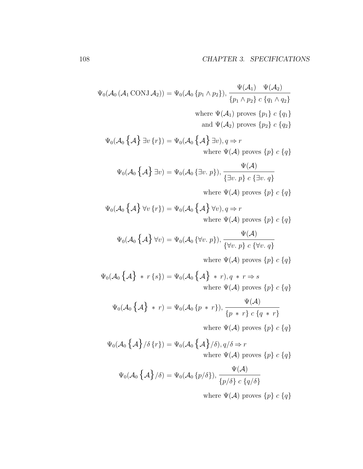$$
\Psi_0(\mathcal{A}_0(\mathcal{A}_1 \text{CONJ} \mathcal{A}_2)) = \Psi_0(\mathcal{A}_0 \{p_1 \wedge p_2\}), \frac{\Psi(\mathcal{A}_1) \quad \Psi(\mathcal{A}_2)}{\{p_1 \wedge p_2\} \ c \{q_1 \wedge q_2\}}
$$
\nwhere  $\Psi(\mathcal{A}_1)$  proves  $\{p_1\} \ c \{q_1\}$   
\nand  $\Psi(\mathcal{A}_2)$  proves  $\{p_2\} \ c \{q_2\}$ 

$$
\Psi_0(\mathcal{A}_0 \{\mathcal{A}\} \exists v \{r\}) = \Psi_0(\mathcal{A}_0 \{\mathcal{A}\} \exists v), q \Rightarrow r
$$
\nwhere  $\Psi(\mathcal{A})$  proves  $\{p\} c \{q\}$ 

$$
\Psi_0(\mathcal{A}_0 \{\mathcal{A}\} \exists v) = \Psi_0(\mathcal{A}_0 \{\exists v. p\}), \frac{\Psi(\mathcal{A})}{\{\exists v. p\} \ c \{\exists v. q\}}
$$

where  $\Psi(\mathcal{A})$  proves  $\{p\}$   $c$   $\{q\}$ 

$$
\Psi_0(\mathcal{A}_0 \{\mathcal{A}\} \forall v \{r\}) = \Psi_0(\mathcal{A}_0 \{\mathcal{A}\} \forall v), q \Rightarrow r
$$
  
where  $\Psi(\mathcal{A})$  proves  $\{p\} c \{q\}$ 

$$
\Psi_0(\mathcal{A}_0 \{\mathcal{A}\} \forall v) = \Psi_0(\mathcal{A}_0 \{\forall v. p\}), \frac{\Psi(\mathcal{A})}{\{\forall v. p\} c \{\forall v. q\}}
$$

where  $\Psi(\mathcal{A})$  proves  $\{p\}$  c  $\{q\}$ 

 $\Psi_0(\mathcal{A}_0 \left\{ \mathcal{A} \right\} * r \left\{ s \right\}) = \Psi_0(\mathcal{A}_0 \left\{ \mathcal{A} \right\} * r), q * r \Rightarrow s$ where  $\Psi(\mathcal{A})$  proves  $\{p\}$  c  $\{q\}$ 

$$
\Psi_0(\mathcal{A}_0 \{\mathcal{A}\} * r) = \Psi_0(\mathcal{A}_0 \{p * r\}), \frac{\Psi(\mathcal{A})}{\{p * r\} c \{q * r\}}
$$

where  $\Psi(\mathcal{A})$  proves  $\{p\}$   $c$   $\{q\}$ 

$$
\Psi_0(\mathcal{A}_0 \{\mathcal{A}\}/\delta \{r\}) = \Psi_0(\mathcal{A}_0 \{\mathcal{A}\}/\delta), q/\delta \Rightarrow r
$$
  
where  $\Psi(\mathcal{A})$  proves  $\{p\} c \{q\}$ 

$$
\Psi_0(\mathcal{A}_0 \left\{ \mathcal{A} \right\} / \delta) = \Psi_0(\mathcal{A}_0 \left\{ p / \delta \right\}), \frac{\Psi(\mathcal{A})}{\left\{ p / \delta \right\} c \left\{ q / \delta \right\}}
$$

where  $\Psi(\mathcal{A})$  proves  $\{p\}$   $c$   $\{q\}$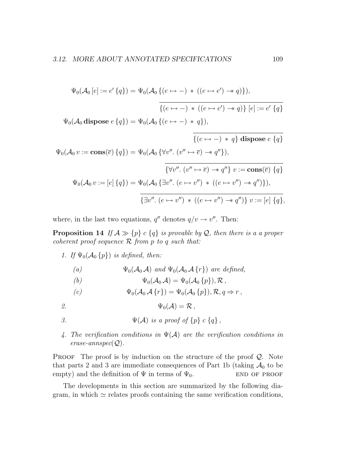$$
\Psi_0(\mathcal{A}_0 [e] := e' \{q\}) = \Psi_0(\mathcal{A}_0 \{ (e \mapsto -) * ((e \mapsto e') \rightarrow q) \}),
$$

$$
\overline{\{(e \mapsto -) * ((e \mapsto e') \rightarrow q)\} [e] := e' \{q\}}
$$

$$
\Psi_0(\mathcal{A}_0 \text{ dispose } e \{q\}) = \Psi_0(\mathcal{A}_0 \{ (e \mapsto -) * q \}),
$$

$$
\{ (e \mapsto -) * q \} \text{ dispose } e \{q \}
$$

$$
\Psi_0(\mathcal{A}_0 v := \text{cons}(\overline{e}) \{q \}) = \Psi_0(\mathcal{A}_0 \{ \forall v'', (v'' \mapsto \overline{e}) \rightarrow q'' \}),
$$

$$
\overline{\{ \forall v'', (v'' \mapsto \overline{e}) \rightarrow q'' \} \ v := \text{cons}(\overline{e}) \{q \}}
$$

$$
\Psi_0(\mathcal{A}_0 v := [e] \{q \}) = \Psi_0(\mathcal{A}_0 \{ \exists v'', (e \mapsto v'') * ((e \mapsto v'') \rightarrow q'') \}),
$$

$$
\overline{\{ \exists v'', (e \mapsto v'') * ((e \mapsto v'') \rightarrow q'') \} \ v := [e] \{q \},
$$

where, in the last two equations,  $q''$  denotes  $q/v \rightarrow v''$ . Then:

**Proposition 14** If  $A \gg {p} c {q}$  is provable by Q, then there is a a proper coherent proof sequence  $R$  from p to q such that:

1. If  $\Psi_0(\mathcal{A}_0 \{p\})$  is defined, then:

(a) 
$$
\Psi_0(\mathcal{A}_0 \mathcal{A}) \text{ and } \Psi_0(\mathcal{A}_0 \mathcal{A} \{r\}) \text{ are defined,}
$$

(b)  $\Psi_0(\mathcal{A}_0 \mathcal{A}) = \Psi_0(\mathcal{A}_0 \{p\}), \mathcal{R},$ 

$$
(c) \t\Psi_0(\mathcal{A}_0 \mathcal{A}\{r\}) = \Psi_0(\mathcal{A}_0 \{p\}), \mathcal{R}, q \Rightarrow r,
$$

2.  $\Psi_0(\mathcal{A}) = \mathcal{R}$ ,

- 3.  $\Psi(\mathcal{A})$  is a proof of  $\{p\}$  c  $\{q\}$ ,
- 4. The verification conditions in  $\Psi(\mathcal{A})$  are the verification conditions in  $erase-annspec(Q)$ .

**PROOF** The proof is by induction on the structure of the proof  $Q$ . Note that parts 2 and 3 are immediate consequences of Part 1b (taking  $A_0$  to be empty) and the definition of  $\Psi$  in terms of  $\Psi_0$ . END OF PROOF

The developments in this section are summarized by the following diagram, in which  $\simeq$  relates proofs containing the same verification conditions,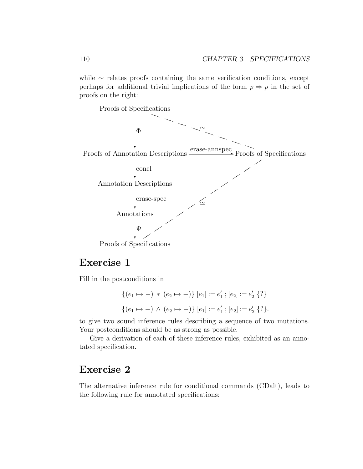while ∼ relates proofs containing the same verification conditions, except perhaps for additional trivial implications of the form  $p \Rightarrow p$  in the set of proofs on the right:



### Exercise 1

Fill in the postconditions in

$$
\{(e_1 \mapsto -) * (e_2 \mapsto -)\} [e_1] := e'_1; [e_2] := e'_2 \{?\}
$$

$$
\{(e_1 \mapsto -) \land (e_2 \mapsto -)\} [e_1] := e'_1; [e_2] := e'_2 \{?\}.
$$

to give two sound inference rules describing a sequence of two mutations. Your postconditions should be as strong as possible.

Give a derivation of each of these inference rules, exhibited as an annotated specification.

#### Exercise 2

The alternative inference rule for conditional commands (CDalt), leads to the following rule for annotated specifications: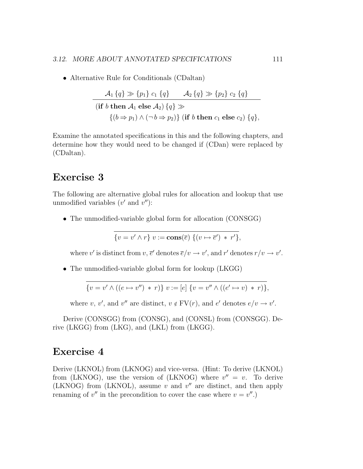• Alternative Rule for Conditionals (CDaltan)

$$
\mathcal{A}_1 \{q\} \gg \{p_1\} c_1 \{q\} \qquad \mathcal{A}_2 \{q\} \gg \{p_2\} c_2 \{q\}
$$
  
(**if**  $b$  **then**  $\mathcal{A}_1$  **else**  $\mathcal{A}_2$ )  $\{q\}$   $\gg$   
 $\{(b \Rightarrow p_1) \land (\neg b \Rightarrow p_2)\}$  (**if**  $b$  **then**  $c_1$  **else**  $c_2$ )  $\{q\},$ 

Examine the annotated specifications in this and the following chapters, and determine how they would need to be changed if (CDan) were replaced by (CDaltan).

#### Exercise 3

The following are alternative global rules for allocation and lookup that use unmodified variables  $(v'$  and  $v'$ ):

• The unmodified-variable global form for allocation (CONSGG)

$$
\{v = v' \wedge r\} \ v := \mathbf{cons}(\overline{e}) \ \{ (v \mapsto \overline{e}') \ * \ r' \},\
$$

where v' is distinct from  $v, \bar{e}$  denotes  $\bar{e}/v \to v'$ , and r' denotes  $r/v \to v'$ .

• The unmodified-variable global form for lookup (LKGG)

$$
\{v = v' \land ((e \mapsto v'') * r)\} \ v := [e] \{v = v'' \land ((e' \mapsto v) * r)\},\
$$

where v, v', and v'' are distinct,  $v \notin FV(r)$ , and e' denotes  $e/v \to v'$ .

Derive (CONSGG) from (CONSG), and (CONSL) from (CONSGG). Derive (LKGG) from (LKG), and (LKL) from (LKGG).

#### Exercise 4

Derive (LKNOL) from (LKNOG) and vice-versa. (Hint: To derive (LKNOL) from (LKNOG), use the version of (LKNOG) where  $v'' = v$ . To derive (LKNOG) from (LKNOL), assume  $v$  and  $v''$  are distinct, and then apply renaming of  $v''$  in the precondition to cover the case where  $v = v''$ .